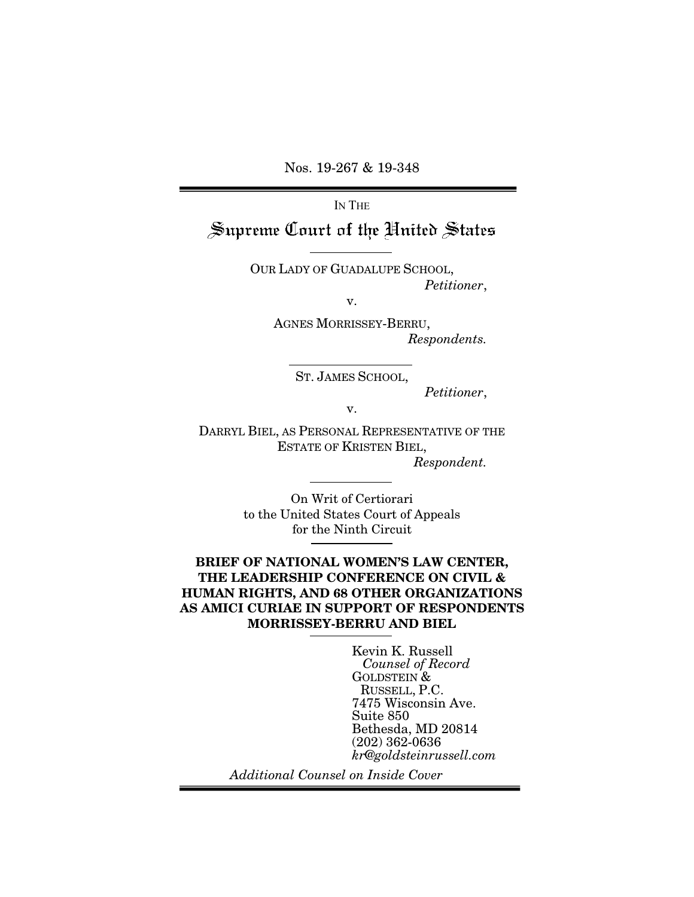Nos. 19-267 & 19-348

IN THE

## Supreme Court of the United States

OUR LADY OF GUADALUPE SCHOOL, *Petitioner*,

v.

AGNES MORRISSEY-BERRU, *Respondents.* 

ST. JAMES SCHOOL,

*Petitioner*,

v.

DARRYL BIEL, AS PERSONAL REPRESENTATIVE OF THE ESTATE OF KRISTEN BIEL,

*Respondent.* 

On Writ of Certiorari to the United States Court of Appeals for the Ninth Circuit

#### BRIEF OF NATIONAL WOMEN'S LAW CENTER, THE LEADERSHIP CONFERENCE ON CIVIL & HUMAN RIGHTS, AND 68 OTHER ORGANIZATIONS AS AMICI CURIAE IN SUPPORT OF RESPONDENTS MORRISSEY-BERRU AND BIEL

Kevin K. Russell *Counsel of Record* GOLDSTEIN & RUSSELL, P.C. 7475 Wisconsin Ave. Suite 850 Bethesda, MD 20814 (202) 362-0636 *kr@goldsteinrussell.com*

*Additional Counsel on Inside Cover*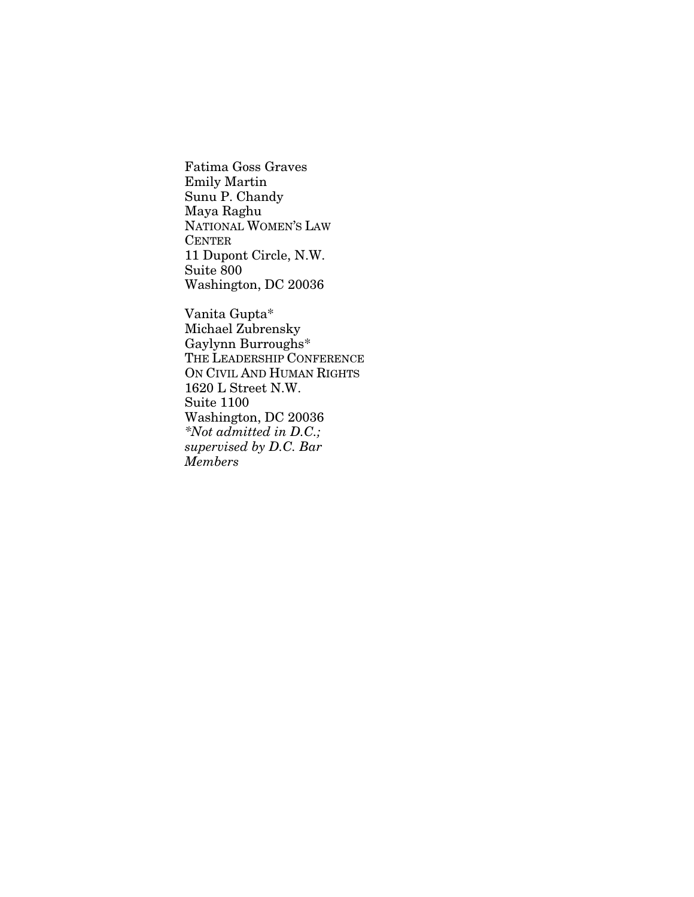Fatima Goss Graves Emily Martin Sunu P. Chandy Maya Raghu NATIONAL WOMEN'S LAW CENTER 11 Dupont Circle, N.W. Suite 800 Washington, DC 20036

Vanita Gupta\* Michael Zubrensky Gaylynn Burroughs\* THE LEADERSHIP CONFERENCE ON CIVIL AND HUMAN RIGHTS 1620 L Street N.W. Suite 1100 Washington, DC 20036 *\*Not admitted in D.C.; supervised by D.C. Bar Members*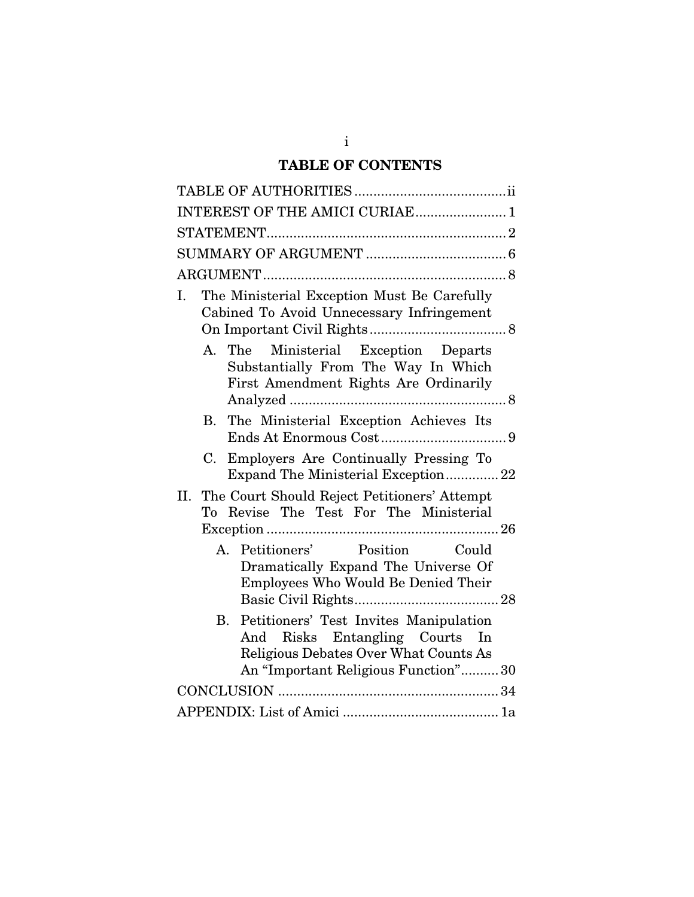## TABLE OF CONTENTS

| INTEREST OF THE AMICI CURIAE 1                                                                                                                                             |
|----------------------------------------------------------------------------------------------------------------------------------------------------------------------------|
|                                                                                                                                                                            |
|                                                                                                                                                                            |
|                                                                                                                                                                            |
| The Ministerial Exception Must Be Carefully<br>Ι.<br>Cabined To Avoid Unnecessary Infringement                                                                             |
| Ministerial Exception Departs<br>The<br>$A_{1}$<br>Substantially From The Way In Which<br>First Amendment Rights Are Ordinarily                                            |
| The Ministerial Exception Achieves Its<br>В.                                                                                                                               |
| Employers Are Continually Pressing To<br>C.<br>Expand The Ministerial Exception22                                                                                          |
| The Court Should Reject Petitioners' Attempt<br>Н.<br>To Revise The Test For The Ministerial                                                                               |
| Petitioners' Position Could<br>$A_{1}$<br>Dramatically Expand The Universe Of<br>Employees Who Would Be Denied Their                                                       |
| Petitioners' Test Invites Manipulation<br>$\mathbf{B}$ .<br>And Risks Entangling Courts In<br>Religious Debates Over What Counts As<br>An "Important Religious Function"30 |
|                                                                                                                                                                            |
|                                                                                                                                                                            |

i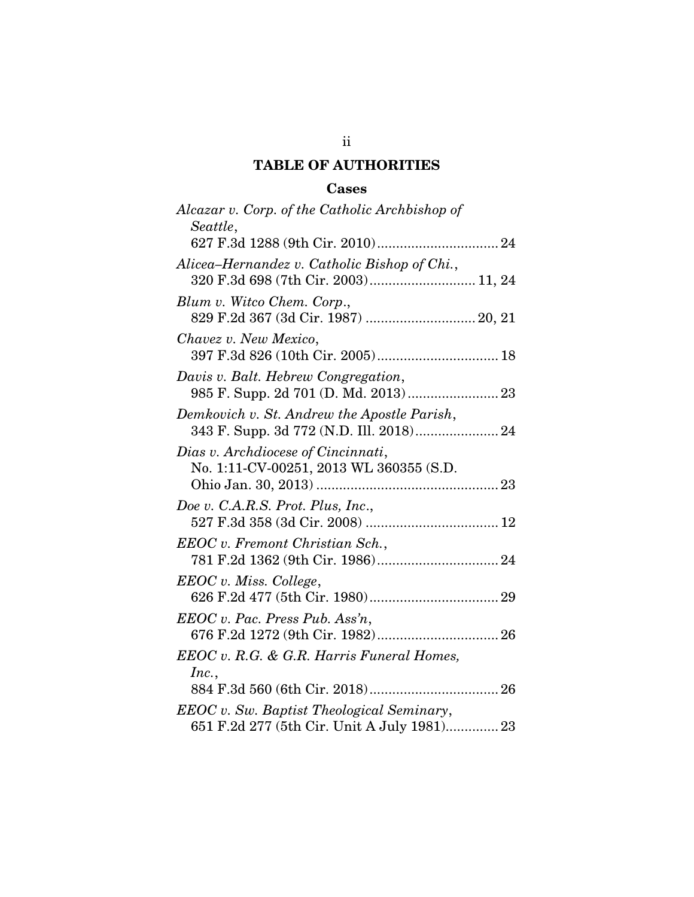### TABLE OF AUTHORITIES

### Cases

| Alcazar v. Corp. of the Catholic Archbishop of                                                  |
|-------------------------------------------------------------------------------------------------|
| Seattle,                                                                                        |
| Alicea-Hernandez v. Catholic Bishop of Chi.,<br>320 F.3d 698 (7th Cir. 2003) 11, 24             |
| Blum v. Witco Chem. Corp.,                                                                      |
| Chavez v. New Mexico,<br>397 F.3d 826 (10th Cir. 2005) 18                                       |
| Davis v. Balt. Hebrew Congregation,                                                             |
| Demkovich v. St. Andrew the Apostle Parish,<br>343 F. Supp. 3d 772 (N.D. Ill. 2018) 24          |
| Dias v. Archdiocese of Cincinnati,<br>No. 1:11-CV-00251, 2013 WL 360355 (S.D.                   |
| Doe v. C.A.R.S. Prot. Plus, Inc.,                                                               |
| EEOC v. Fremont Christian Sch.,                                                                 |
| EEOC v. Miss. College,                                                                          |
| EEOC v. Pac. Press Pub. Assn,                                                                   |
| EEOC v. R.G. & G.R. Harris Funeral Homes,<br>Inc.,                                              |
|                                                                                                 |
| <b>EEOC</b> v. Sw. Baptist Theological Seminary,<br>651 F.2d 277 (5th Cir. Unit A July 1981) 23 |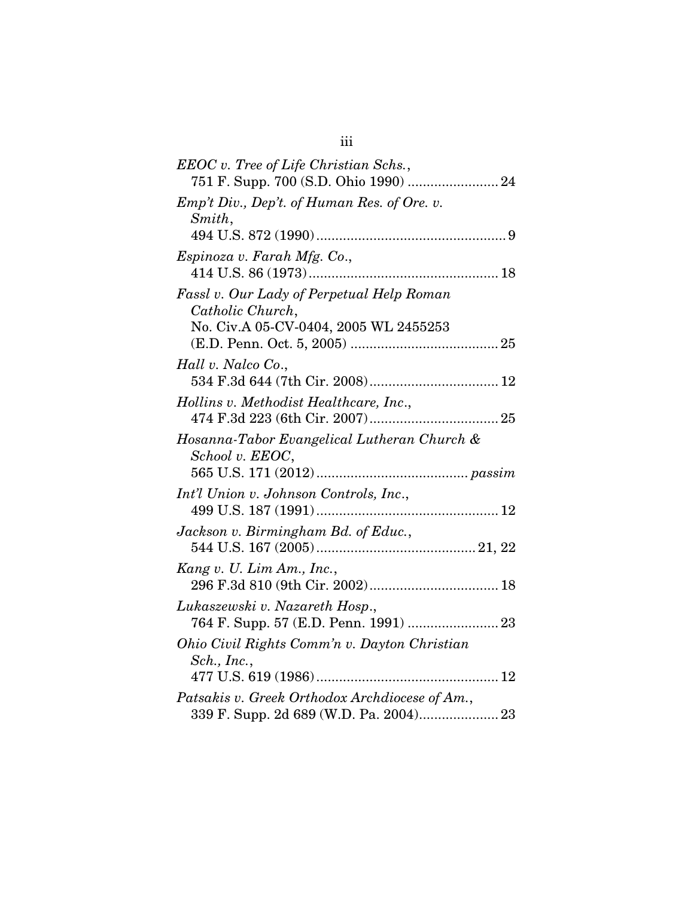| EEOC v. Tree of Life Christian Schs.,<br>751 F. Supp. 700 (S.D. Ohio 1990)  24           |
|------------------------------------------------------------------------------------------|
| Emp't Div., Dep't. of Human Res. of Ore. v.<br>Smith,                                    |
|                                                                                          |
| Espinoza v. Farah Mfg. Co.,                                                              |
| Fassl v. Our Lady of Perpetual Help Roman<br>Catholic Church,                            |
| No. Civ.A 05-CV-0404, 2005 WL 2455253                                                    |
| Hall v. Nalco Co.,                                                                       |
|                                                                                          |
| Hollins v. Methodist Healthcare, Inc.,                                                   |
| Hosanna-Tabor Evangelical Lutheran Church &<br>School v. EEOC,                           |
|                                                                                          |
| Int'l Union v. Johnson Controls, Inc.,                                                   |
| Jackson v. Birmingham Bd. of Educ.,                                                      |
| Kang v. U. Lim Am., Inc.,                                                                |
| Lukaszewski v. Nazareth Hosp.,<br>764 F. Supp. 57 (E.D. Penn. 1991)  23                  |
| Ohio Civil Rights Comm'n v. Dayton Christian<br>Sch., Inc.,                              |
|                                                                                          |
| Patsakis v. Greek Orthodox Archdiocese of Am.,<br>339 F. Supp. 2d 689 (W.D. Pa. 2004) 23 |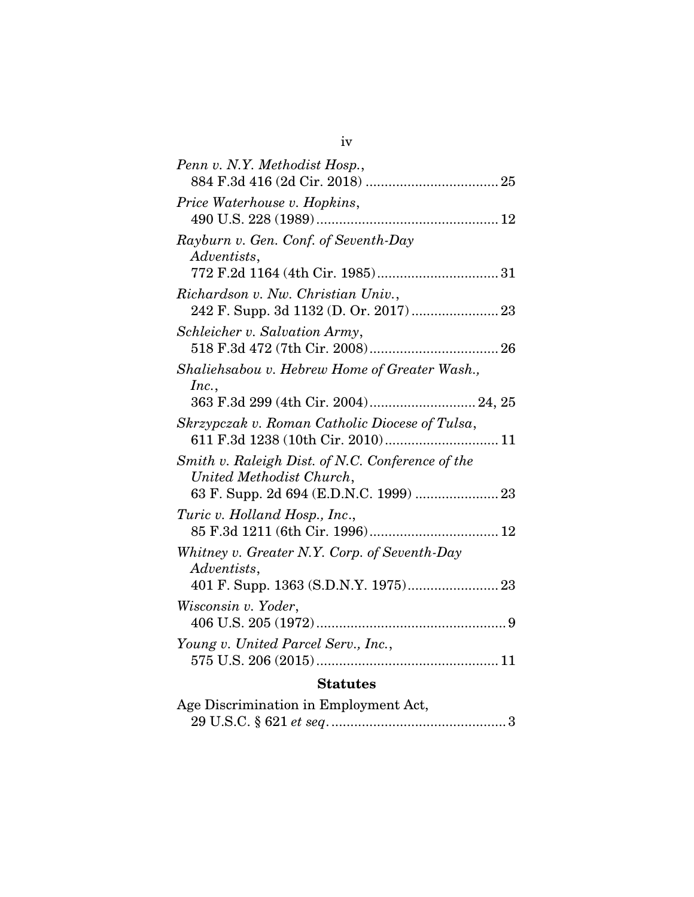| Penn v. N.Y. Methodist Hosp.,                                                                                                                               |
|-------------------------------------------------------------------------------------------------------------------------------------------------------------|
| Price Waterhouse v. Hopkins,                                                                                                                                |
| Rayburn v. Gen. Conf. of Seventh-Day<br>Adventists,                                                                                                         |
| Richardson v. Nw. Christian Univ.,                                                                                                                          |
| Schleicher v. Salvation Army,                                                                                                                               |
| Shaliehsabou v. Hebrew Home of Greater Wash.,<br>Inc.,                                                                                                      |
| 363 F.3d 299 (4th Cir. 2004) 24, 25<br>Skrzypczak v. Roman Catholic Diocese of Tulsa,                                                                       |
| 611 F.3d 1238 (10th Cir. 2010) 11<br>Smith v. Raleigh Dist. of N.C. Conference of the<br>United Methodist Church,<br>63 F. Supp. 2d 694 (E.D.N.C. 1999)  23 |
| Turic v. Holland Hosp., Inc.,                                                                                                                               |
| Whitney v. Greater N.Y. Corp. of Seventh-Day<br>Adventists,                                                                                                 |
| Wisconsin v. Yoder,                                                                                                                                         |
| Young v. United Parcel Serv., Inc.,                                                                                                                         |
| <b>Statutes</b>                                                                                                                                             |
| Age Discrimination in Employment Act,                                                                                                                       |

29 U.S.C. § 621 *et seq*. .............................................. 3

iv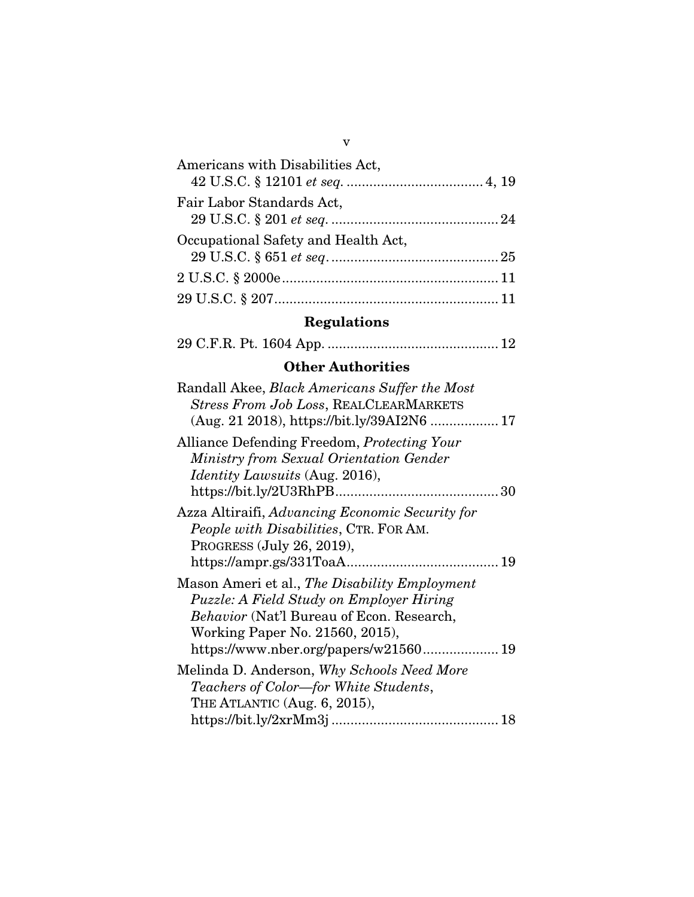| Americans with Disabilities Act,    |
|-------------------------------------|
|                                     |
| Fair Labor Standards Act,           |
|                                     |
| Occupational Safety and Health Act, |
|                                     |
|                                     |
|                                     |

# Regulations

|--|--|--|--|--|--|--|--|

## Other Authorities

| Randall Akee, <i>Black Americans Suffer the Most</i>                                                                                                                      |
|---------------------------------------------------------------------------------------------------------------------------------------------------------------------------|
| <b>Stress From Job Loss, REALCLEARMARKETS</b><br>(Aug. 21 2018), https://bit.ly/39AI2N6  17                                                                               |
| Alliance Defending Freedom, Protecting Your<br>Ministry from Sexual Orientation Gender<br><i>Identity Lawsuits</i> (Aug. 2016),                                           |
| Azza Altiraifi, Advancing Economic Security for<br>People with Disabilities, CTR. FOR AM.<br>PROGRESS (July 26, 2019),<br>19                                              |
| Mason Ameri et al., The Disability Employment<br>Puzzle: A Field Study on Employer Hiring<br>Behavior (Nat'l Bureau of Econ. Research,<br>Working Paper No. 21560, 2015), |
| Melinda D. Anderson, Why Schools Need More<br>Teachers of Color—for White Students,<br>THE ATLANTIC (Aug. 6, 2015),                                                       |
|                                                                                                                                                                           |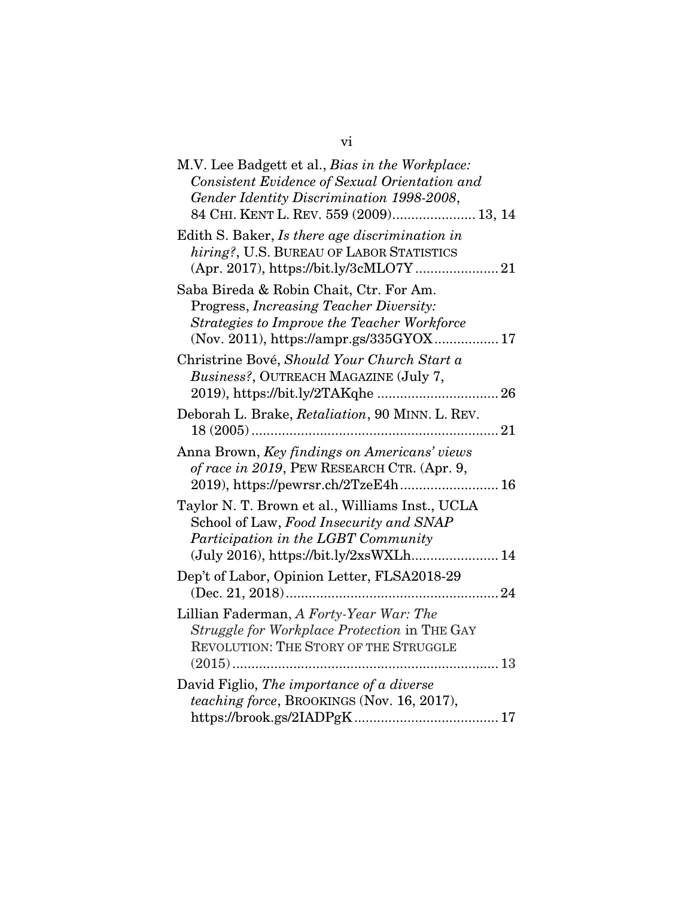| M.V. Lee Badgett et al., Bias in the Workplace:<br>Consistent Evidence of Sexual Orientation and<br>Gender Identity Discrimination 1998-2008,<br>84 CHI. KENT L. REV. 559 (2009) 13, 14 |
|-----------------------------------------------------------------------------------------------------------------------------------------------------------------------------------------|
| Edith S. Baker, Is there age discrimination in<br>hiring?, U.S. BUREAU OF LABOR STATISTICS<br>(Apr. 2017), https://bit.ly/3cMLO7Y 21                                                    |
| Saba Bireda & Robin Chait, Ctr. For Am.<br>Progress, Increasing Teacher Diversity:<br>Strategies to Improve the Teacher Workforce<br>(Nov. 2011), https://ampr.gs/335GYOX 17            |
| Christrine Bové, Should Your Church Start a<br>Business?, OUTREACH MAGAZINE (July 7,                                                                                                    |
| Deborah L. Brake, Retaliation, 90 MINN. L. REV.                                                                                                                                         |
| Anna Brown, Key findings on Americans' views<br>of race in 2019, PEW RESEARCH CTR. (Apr. 9,<br>2019), https://pewrsr.ch/2TzeE4h 16                                                      |
| Taylor N. T. Brown et al., Williams Inst., UCLA<br>School of Law, Food Insecurity and SNAP<br>Participation in the LGBT Community<br>(July 2016), https://bit.ly/2xsWXLh 14             |
| Dep't of Labor, Opinion Letter, FLSA2018-29                                                                                                                                             |
| Lillian Faderman, A Forty-Year War: The<br>Struggle for Workplace Protection in THE GAY<br>REVOLUTION: THE STORY OF THE STRUGGLE                                                        |
| David Figlio, The importance of a diverse<br>teaching force, BROOKINGS (Nov. 16, 2017),                                                                                                 |

vi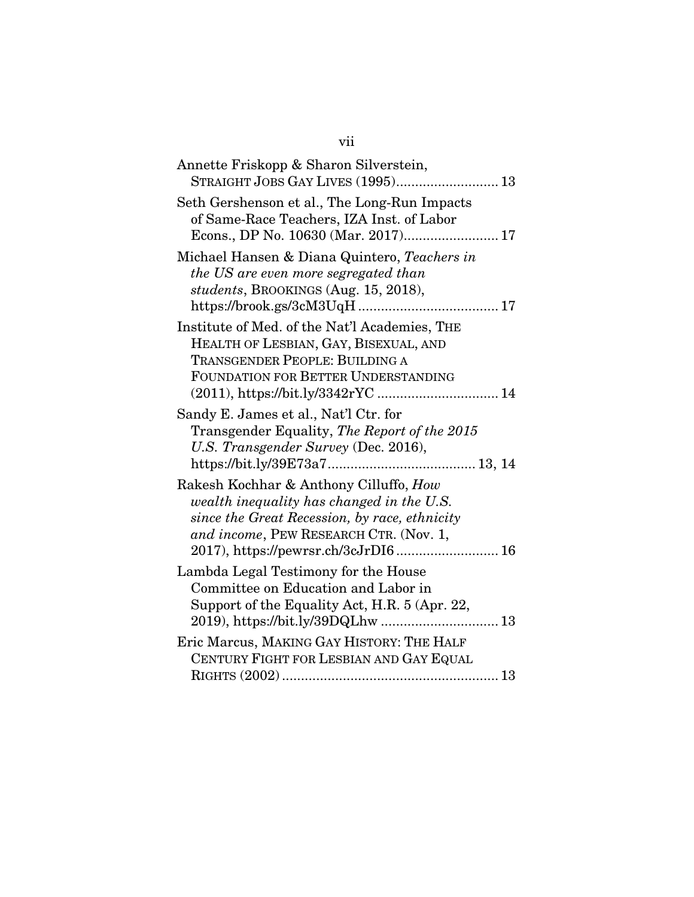| Annette Friskopp & Sharon Silverstein,<br>STRAIGHT JOBS GAY LIVES (1995) 13                                                                                                                                           |
|-----------------------------------------------------------------------------------------------------------------------------------------------------------------------------------------------------------------------|
| Seth Gershenson et al., The Long-Run Impacts<br>of Same-Race Teachers, IZA Inst. of Labor<br>Econs., DP No. 10630 (Mar. 2017) 17                                                                                      |
| Michael Hansen & Diana Quintero, Teachers in<br>the US are even more segregated than<br>students, BROOKINGS (Aug. 15, 2018),                                                                                          |
| Institute of Med. of the Nat'l Academies, THE<br>HEALTH OF LESBIAN, GAY, BISEXUAL, AND<br><b>TRANSGENDER PEOPLE: BUILDING A</b><br>FOUNDATION FOR BETTER UNDERSTANDING<br>(2011), https://bit.ly/3342rYC  14          |
| Sandy E. James et al., Nat'l Ctr. for<br>Transgender Equality, The Report of the 2015<br>U.S. Transgender Survey (Dec. 2016),                                                                                         |
| Rakesh Kochhar & Anthony Cilluffo, How<br>wealth inequality has changed in the U.S.<br>since the Great Recession, by race, ethnicity<br>and income, PEW RESEARCH CTR. (Nov. 1,<br>2017), https://pewrsr.ch/3cJrDI6 16 |
| Lambda Legal Testimony for the House<br>Committee on Education and Labor in<br>Support of the Equality Act, H.R. 5 (Apr. 22,                                                                                          |
| Eric Marcus, MAKING GAY HISTORY: THE HALF<br>CENTURY FIGHT FOR LESBIAN AND GAY EQUAL                                                                                                                                  |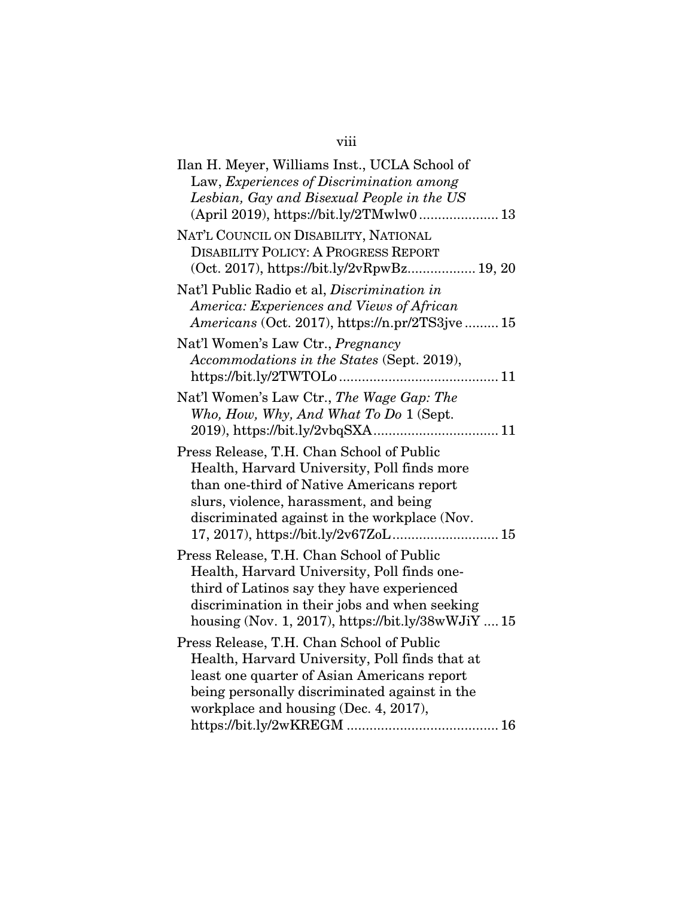# viii

| Ilan H. Meyer, Williams Inst., UCLA School of<br>Law, Experiences of Discrimination among                                                                                                                                                      |
|------------------------------------------------------------------------------------------------------------------------------------------------------------------------------------------------------------------------------------------------|
| Lesbian, Gay and Bisexual People in the US<br>(April 2019), https://bit.ly/2TMwlw0 13                                                                                                                                                          |
| NAT'L COUNCIL ON DISABILITY, NATIONAL<br><b>DISABILITY POLICY: A PROGRESS REPORT</b><br>(Oct. 2017), https://bit.ly/2vRpwBz 19, 20                                                                                                             |
| Nat'l Public Radio et al, Discrimination in<br>America: Experiences and Views of African<br>Americans (Oct. 2017), https://n.pr/2TS3jve 15                                                                                                     |
| Nat'l Women's Law Ctr., Pregnancy<br>Accommodations in the States (Sept. 2019),                                                                                                                                                                |
| Nat'l Women's Law Ctr., The Wage Gap: The<br>Who, How, Why, And What To Do 1 (Sept.                                                                                                                                                            |
| Press Release, T.H. Chan School of Public<br>Health, Harvard University, Poll finds more<br>than one-third of Native Americans report<br>slurs, violence, harassment, and being<br>discriminated against in the workplace (Nov.                |
| Press Release, T.H. Chan School of Public<br>Health, Harvard University, Poll finds one-<br>third of Latinos say they have experienced<br>discrimination in their jobs and when seeking<br>housing (Nov. 1, 2017), https://bit.ly/38wWJiY $15$ |
| Press Release, T.H. Chan School of Public<br>Health, Harvard University, Poll finds that at<br>least one quarter of Asian Americans report<br>being personally discriminated against in the<br>workplace and housing (Dec. 4, 2017),           |
|                                                                                                                                                                                                                                                |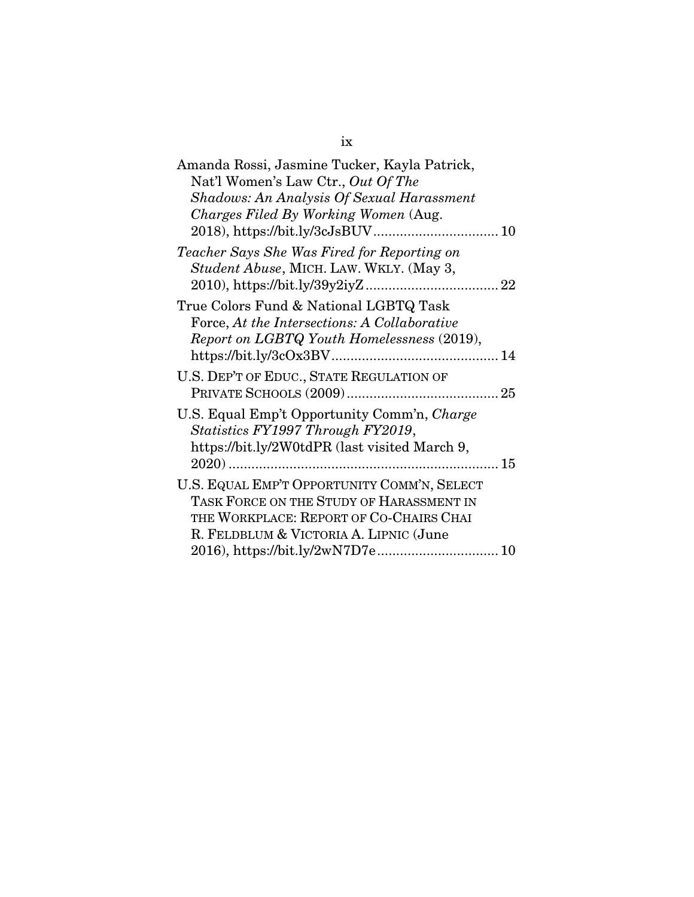| Amanda Rossi, Jasmine Tucker, Kayla Patrick,<br>Nat'l Women's Law Ctr., Out Of The                                                                                           |
|------------------------------------------------------------------------------------------------------------------------------------------------------------------------------|
| Shadows: An Analysis Of Sexual Harassment                                                                                                                                    |
| Charges Filed By Working Women (Aug.                                                                                                                                         |
| Teacher Says She Was Fired for Reporting on<br>Student Abuse, MICH. LAW. WKLY. (May 3,                                                                                       |
| True Colors Fund & National LGBTQ Task<br>Force, At the Intersections: A Collaborative<br>Report on LGBTQ Youth Homelessness (2019),                                         |
| U.S. DEP'T OF EDUC., STATE REGULATION OF                                                                                                                                     |
| U.S. Equal Emp't Opportunity Comm'n, Charge<br>Statistics FY1997 Through FY2019,<br>https://bit.ly/2W0tdPR (last visited March 9,<br>$2020)$<br>. 15<br>                     |
| U.S. EQUAL EMP'T OPPORTUNITY COMM'N, SELECT<br>TASK FORCE ON THE STUDY OF HARASSMENT IN<br>THE WORKPLACE: REPORT OF CO-CHAIRS CHAI<br>R. FELDBLUM & VICTORIA A. LIPNIC (June |

## ix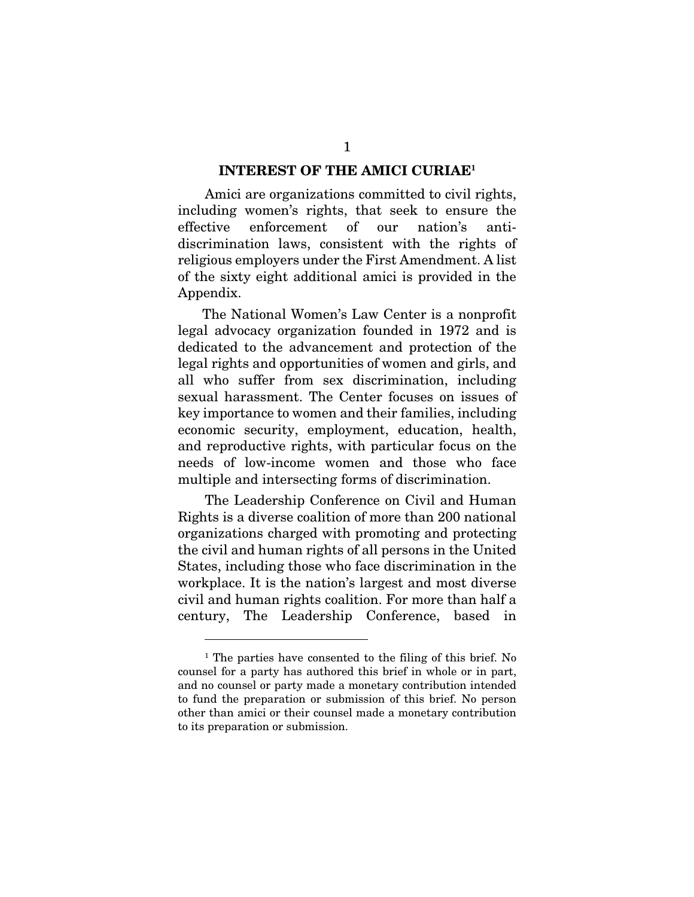#### INTEREST OF THE AMICI CURIAE1

Amici are organizations committed to civil rights, including women's rights, that seek to ensure the effective enforcement of our nation's antidiscrimination laws, consistent with the rights of religious employers under the First Amendment. A list of the sixty eight additional amici is provided in the Appendix.

The National Women's Law Center is a nonprofit legal advocacy organization founded in 1972 and is dedicated to the advancement and protection of the legal rights and opportunities of women and girls, and all who suffer from sex discrimination, including sexual harassment. The Center focuses on issues of key importance to women and their families, including economic security, employment, education, health, and reproductive rights, with particular focus on the needs of low-income women and those who face multiple and intersecting forms of discrimination.

The Leadership Conference on Civil and Human Rights is a diverse coalition of more than 200 national organizations charged with promoting and protecting the civil and human rights of all persons in the United States, including those who face discrimination in the workplace. It is the nation's largest and most diverse civil and human rights coalition. For more than half a century, The Leadership Conference, based in

<sup>1</sup> The parties have consented to the filing of this brief. No counsel for a party has authored this brief in whole or in part, and no counsel or party made a monetary contribution intended to fund the preparation or submission of this brief. No person other than amici or their counsel made a monetary contribution to its preparation or submission.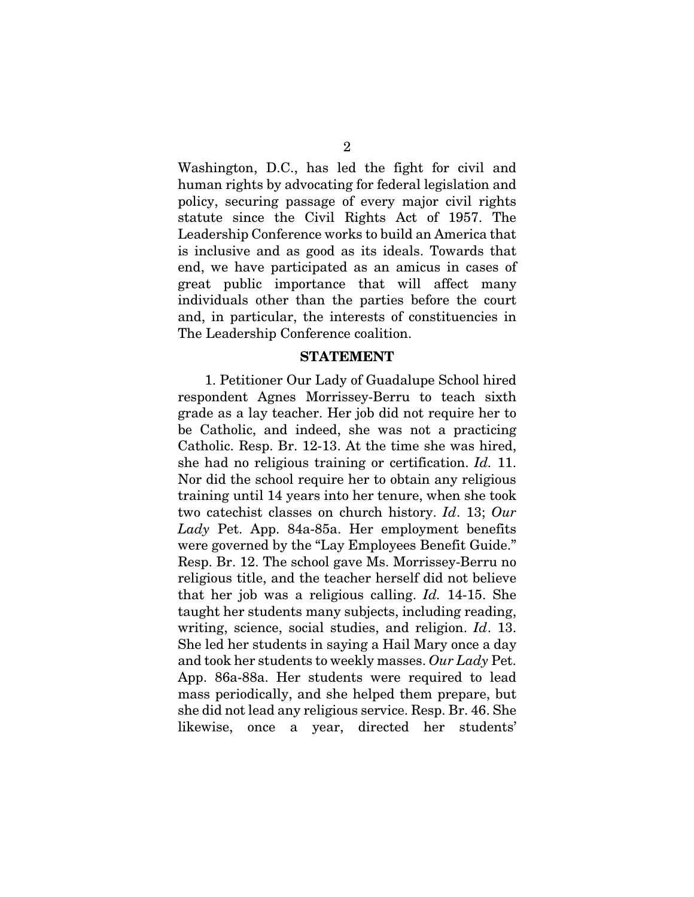Washington, D.C., has led the fight for civil and human rights by advocating for federal legislation and policy, securing passage of every major civil rights statute since the Civil Rights Act of 1957. The Leadership Conference works to build an America that is inclusive and as good as its ideals. Towards that end, we have participated as an amicus in cases of great public importance that will affect many individuals other than the parties before the court and, in particular, the interests of constituencies in The Leadership Conference coalition.

#### STATEMENT

1. Petitioner Our Lady of Guadalupe School hired respondent Agnes Morrissey-Berru to teach sixth grade as a lay teacher. Her job did not require her to be Catholic, and indeed, she was not a practicing Catholic. Resp. Br. 12-13. At the time she was hired, she had no religious training or certification. *Id.* 11. Nor did the school require her to obtain any religious training until 14 years into her tenure, when she took two catechist classes on church history. *Id*. 13; *Our Lady* Pet. App. 84a-85a. Her employment benefits were governed by the "Lay Employees Benefit Guide." Resp. Br. 12. The school gave Ms. Morrissey-Berru no religious title, and the teacher herself did not believe that her job was a religious calling. *Id.* 14-15. She taught her students many subjects, including reading, writing, science, social studies, and religion. *Id*. 13. She led her students in saying a Hail Mary once a day and took her students to weekly masses. *Our Lady* Pet. App. 86a-88a. Her students were required to lead mass periodically, and she helped them prepare, but she did not lead any religious service. Resp. Br. 46. She likewise, once a year, directed her students'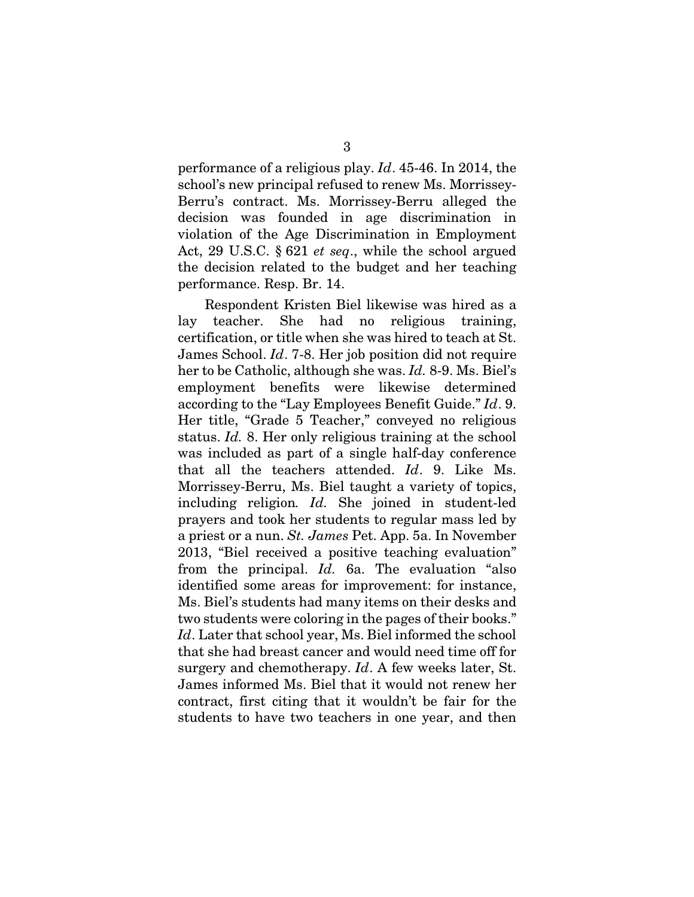performance of a religious play. *Id*. 45-46. In 2014, the school's new principal refused to renew Ms. Morrissey-Berru's contract. Ms. Morrissey-Berru alleged the decision was founded in age discrimination in violation of the Age Discrimination in Employment Act, 29 U.S.C. § 621 *et seq*., while the school argued the decision related to the budget and her teaching performance. Resp. Br. 14.

Respondent Kristen Biel likewise was hired as a lay teacher. She had no religious training, certification, or title when she was hired to teach at St. James School. *Id*. 7-8. Her job position did not require her to be Catholic, although she was. *Id.* 8-9. Ms. Biel's employment benefits were likewise determined according to the "Lay Employees Benefit Guide." *Id*. 9. Her title, "Grade 5 Teacher," conveyed no religious status. *Id.* 8. Her only religious training at the school was included as part of a single half-day conference that all the teachers attended. *Id*. 9. Like Ms. Morrissey-Berru, Ms. Biel taught a variety of topics, including religion*. Id.* She joined in student-led prayers and took her students to regular mass led by a priest or a nun. *St. James* Pet. App. 5a. In November 2013, "Biel received a positive teaching evaluation" from the principal. *Id.* 6a. The evaluation "also identified some areas for improvement: for instance, Ms. Biel's students had many items on their desks and two students were coloring in the pages of their books." *Id*. Later that school year, Ms. Biel informed the school that she had breast cancer and would need time off for surgery and chemotherapy. *Id*. A few weeks later, St. James informed Ms. Biel that it would not renew her contract, first citing that it wouldn't be fair for the students to have two teachers in one year, and then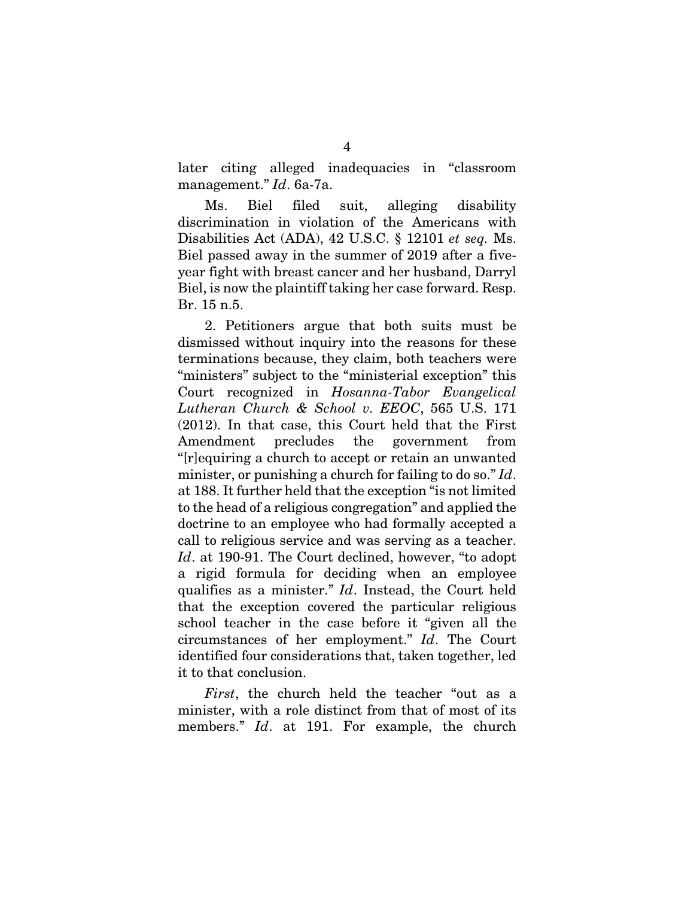later citing alleged inadequacies in "classroom management." *Id*. 6a-7a.

Ms. Biel filed suit, alleging disability discrimination in violation of the Americans with Disabilities Act (ADA), 42 U.S.C. § 12101 *et seq.* Ms. Biel passed away in the summer of 2019 after a fiveyear fight with breast cancer and her husband, Darryl Biel, is now the plaintiff taking her case forward. Resp. Br. 15 n.5.

2. Petitioners argue that both suits must be dismissed without inquiry into the reasons for these terminations because, they claim, both teachers were "ministers" subject to the "ministerial exception" this Court recognized in *Hosanna-Tabor Evangelical Lutheran Church & School v. EEOC*, 565 U.S. 171 (2012). In that case, this Court held that the First Amendment precludes the government from "[r]equiring a church to accept or retain an unwanted minister, or punishing a church for failing to do so." *Id*. at 188. It further held that the exception "is not limited to the head of a religious congregation" and applied the doctrine to an employee who had formally accepted a call to religious service and was serving as a teacher. *Id*. at 190-91. The Court declined, however, "to adopt a rigid formula for deciding when an employee qualifies as a minister." *Id*. Instead, the Court held that the exception covered the particular religious school teacher in the case before it "given all the circumstances of her employment." *Id*. The Court identified four considerations that, taken together, led it to that conclusion.

*First*, the church held the teacher "out as a minister, with a role distinct from that of most of its members." *Id*. at 191. For example, the church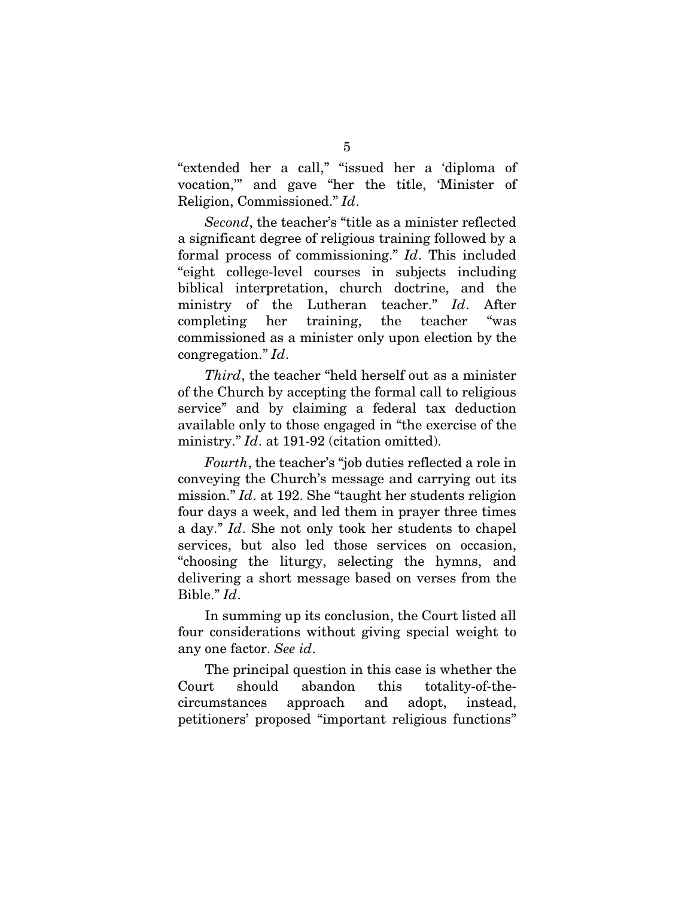"extended her a call," "issued her a 'diploma of vocation,'" and gave "her the title, 'Minister of Religion, Commissioned." *Id*.

*Second*, the teacher's "title as a minister reflected a significant degree of religious training followed by a formal process of commissioning." *Id*. This included "eight college-level courses in subjects including biblical interpretation, church doctrine, and the ministry of the Lutheran teacher." *Id*. After completing her training, the teacher "was commissioned as a minister only upon election by the congregation." *Id*.

*Third*, the teacher "held herself out as a minister of the Church by accepting the formal call to religious service" and by claiming a federal tax deduction available only to those engaged in "the exercise of the ministry." *Id*. at 191-92 (citation omitted).

*Fourth*, the teacher's "job duties reflected a role in conveying the Church's message and carrying out its mission." *Id*. at 192. She "taught her students religion four days a week, and led them in prayer three times a day." *Id*. She not only took her students to chapel services, but also led those services on occasion, "choosing the liturgy, selecting the hymns, and delivering a short message based on verses from the Bible." *Id*.

In summing up its conclusion, the Court listed all four considerations without giving special weight to any one factor. *See id*.

The principal question in this case is whether the Court should abandon this totality-of-thecircumstances approach and adopt, instead, petitioners' proposed "important religious functions"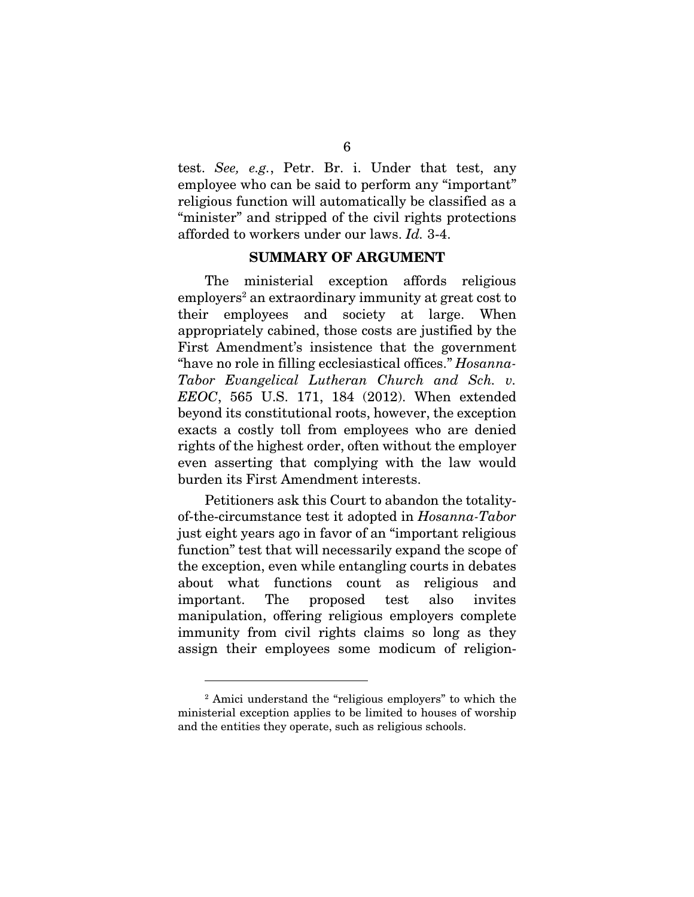test. *See, e.g.*, Petr. Br. i. Under that test, any employee who can be said to perform any "important" religious function will automatically be classified as a "minister" and stripped of the civil rights protections afforded to workers under our laws. *Id.* 3-4.

#### SUMMARY OF ARGUMENT

The ministerial exception affords religious employers<sup>2</sup> an extraordinary immunity at great cost to their employees and society at large. When appropriately cabined, those costs are justified by the First Amendment's insistence that the government "have no role in filling ecclesiastical offices." *Hosanna-Tabor Evangelical Lutheran Church and Sch. v. EEOC*, 565 U.S. 171, 184 (2012). When extended beyond its constitutional roots, however, the exception exacts a costly toll from employees who are denied rights of the highest order, often without the employer even asserting that complying with the law would burden its First Amendment interests.

Petitioners ask this Court to abandon the totalityof-the-circumstance test it adopted in *Hosanna-Tabor* just eight years ago in favor of an "important religious function" test that will necessarily expand the scope of the exception, even while entangling courts in debates about what functions count as religious and important. The proposed test also invites manipulation, offering religious employers complete immunity from civil rights claims so long as they assign their employees some modicum of religion-

<sup>&</sup>lt;sup>2</sup> Amici understand the "religious employers" to which the ministerial exception applies to be limited to houses of worship and the entities they operate, such as religious schools.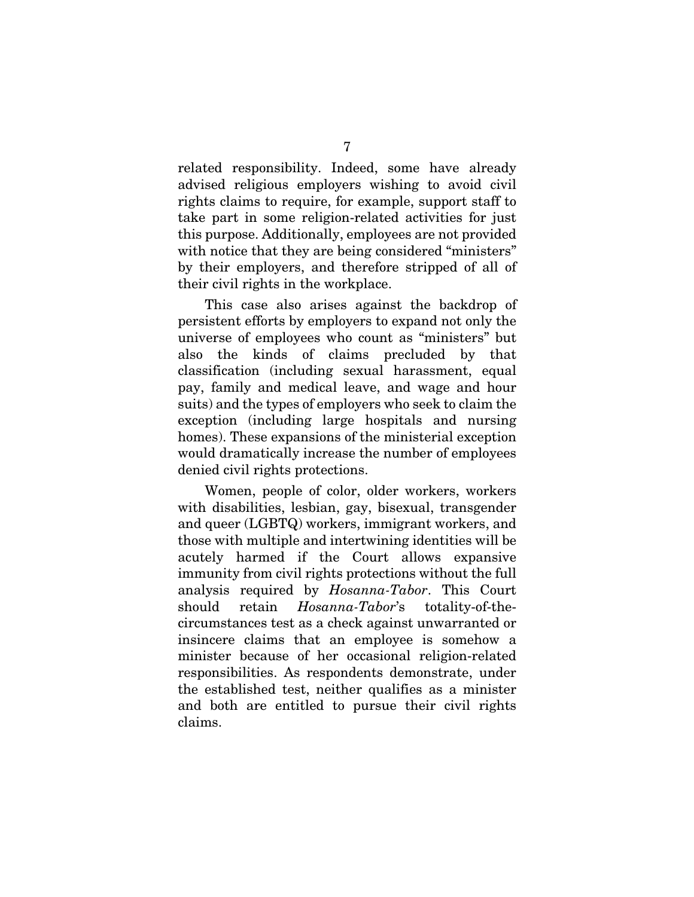related responsibility. Indeed, some have already advised religious employers wishing to avoid civil rights claims to require, for example, support staff to take part in some religion-related activities for just this purpose. Additionally, employees are not provided with notice that they are being considered "ministers" by their employers, and therefore stripped of all of their civil rights in the workplace.

This case also arises against the backdrop of persistent efforts by employers to expand not only the universe of employees who count as "ministers" but also the kinds of claims precluded by that classification (including sexual harassment, equal pay, family and medical leave, and wage and hour suits) and the types of employers who seek to claim the exception (including large hospitals and nursing homes). These expansions of the ministerial exception would dramatically increase the number of employees denied civil rights protections.

Women, people of color, older workers, workers with disabilities, lesbian, gay, bisexual, transgender and queer (LGBTQ) workers, immigrant workers, and those with multiple and intertwining identities will be acutely harmed if the Court allows expansive immunity from civil rights protections without the full analysis required by *Hosanna-Tabor*. This Court should retain *Hosanna-Tabor*'s totality-of-thecircumstances test as a check against unwarranted or insincere claims that an employee is somehow a minister because of her occasional religion-related responsibilities. As respondents demonstrate, under the established test, neither qualifies as a minister and both are entitled to pursue their civil rights claims.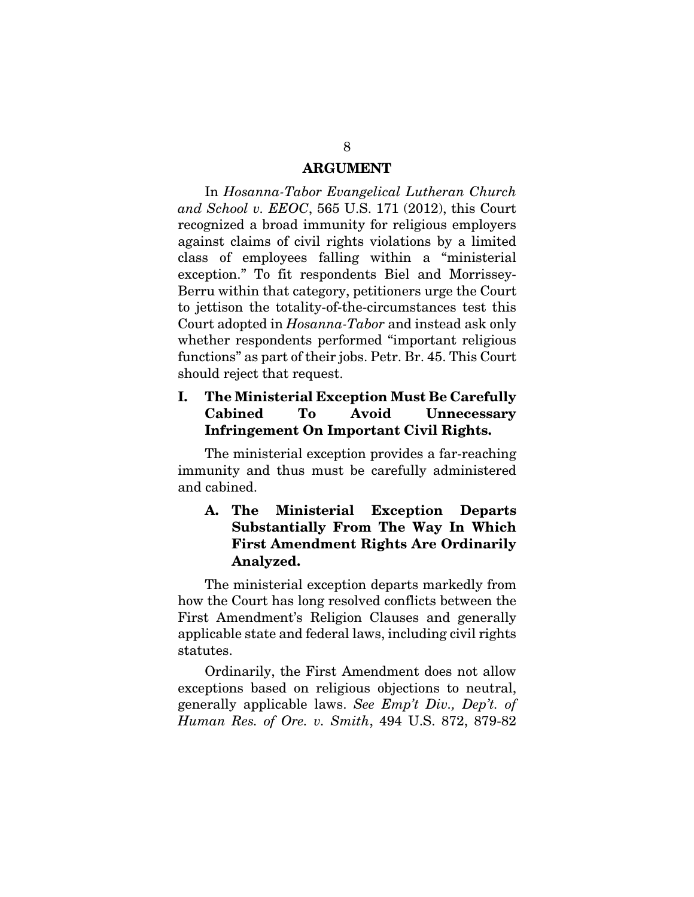#### ARGUMENT

In *Hosanna-Tabor Evangelical Lutheran Church and School v. EEOC*, 565 U.S. 171 (2012), this Court recognized a broad immunity for religious employers against claims of civil rights violations by a limited class of employees falling within a "ministerial exception." To fit respondents Biel and Morrissey-Berru within that category, petitioners urge the Court to jettison the totality-of-the-circumstances test this Court adopted in *Hosanna-Tabor* and instead ask only whether respondents performed "important religious functions" as part of their jobs. Petr. Br. 45. This Court should reject that request.

### I. The Ministerial Exception Must Be Carefully Cabined To Avoid Unnecessary Infringement On Important Civil Rights.

The ministerial exception provides a far-reaching immunity and thus must be carefully administered and cabined.

### A. The Ministerial Exception Departs Substantially From The Way In Which First Amendment Rights Are Ordinarily Analyzed.

The ministerial exception departs markedly from how the Court has long resolved conflicts between the First Amendment's Religion Clauses and generally applicable state and federal laws, including civil rights statutes.

Ordinarily, the First Amendment does not allow exceptions based on religious objections to neutral, generally applicable laws. *See Emp't Div., Dep't. of Human Res. of Ore. v. Smith*, 494 U.S. 872, 879-82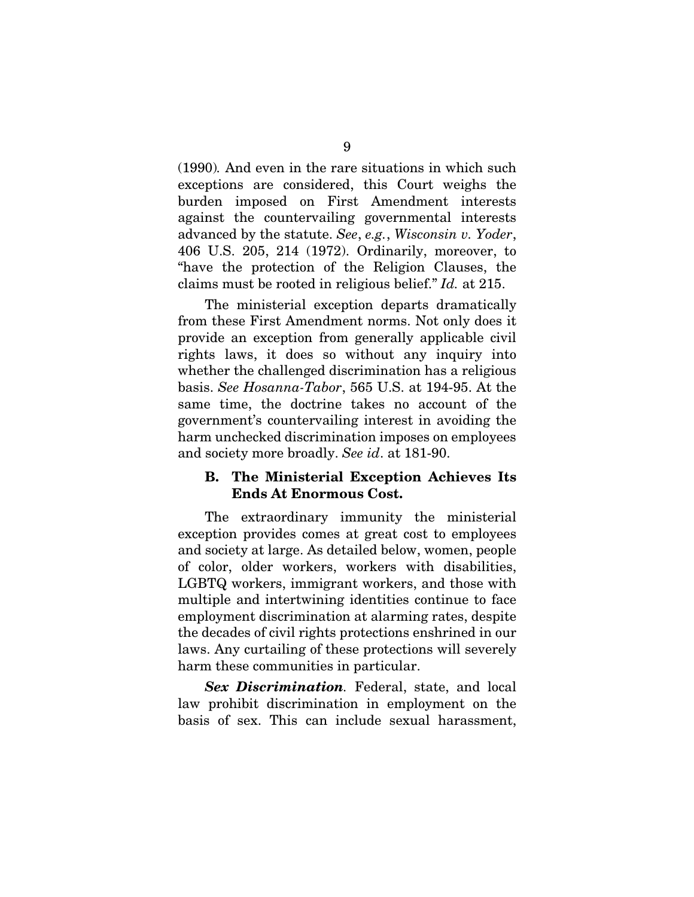(1990)*.* And even in the rare situations in which such exceptions are considered, this Court weighs the burden imposed on First Amendment interests against the countervailing governmental interests advanced by the statute. *See*, *e.g.*, *Wisconsin v. Yoder*, 406 U.S. 205, 214 (1972). Ordinarily, moreover, to "have the protection of the Religion Clauses, the claims must be rooted in religious belief." *Id.* at 215.

The ministerial exception departs dramatically from these First Amendment norms. Not only does it provide an exception from generally applicable civil rights laws, it does so without any inquiry into whether the challenged discrimination has a religious basis. *See Hosanna-Tabor*, 565 U.S. at 194-95. At the same time, the doctrine takes no account of the government's countervailing interest in avoiding the harm unchecked discrimination imposes on employees and society more broadly. *See id*. at 181-90.

#### B. The Ministerial Exception Achieves Its Ends At Enormous Cost.

The extraordinary immunity the ministerial exception provides comes at great cost to employees and society at large. As detailed below, women, people of color, older workers, workers with disabilities, LGBTQ workers, immigrant workers, and those with multiple and intertwining identities continue to face employment discrimination at alarming rates, despite the decades of civil rights protections enshrined in our laws. Any curtailing of these protections will severely harm these communities in particular.

*Sex Discrimination.* Federal, state, and local law prohibit discrimination in employment on the basis of sex. This can include sexual harassment,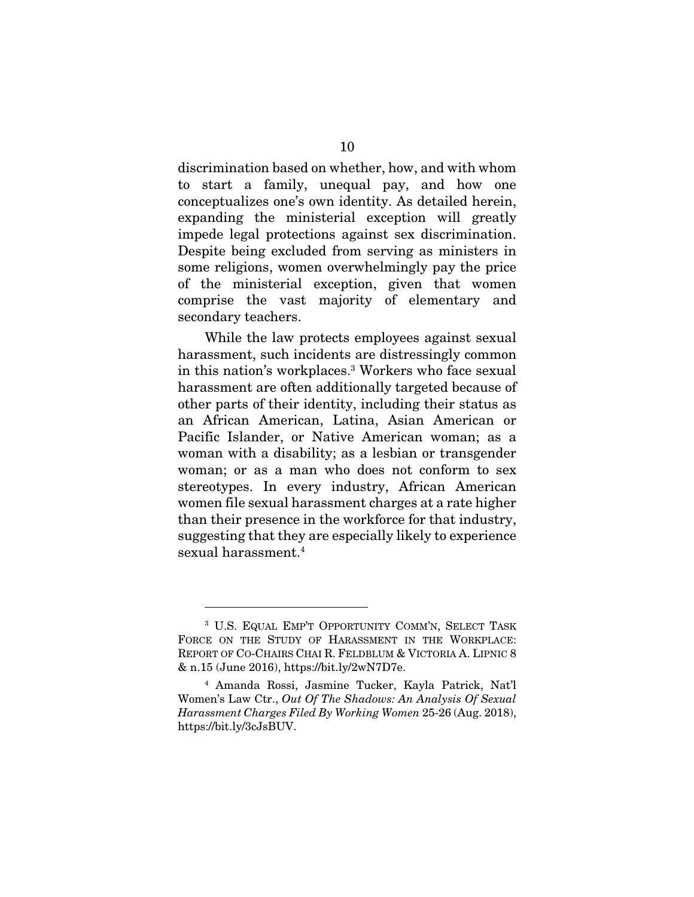discrimination based on whether, how, and with whom to start a family, unequal pay, and how one conceptualizes one's own identity. As detailed herein, expanding the ministerial exception will greatly impede legal protections against sex discrimination. Despite being excluded from serving as ministers in some religions, women overwhelmingly pay the price of the ministerial exception, given that women comprise the vast majority of elementary and secondary teachers.

While the law protects employees against sexual harassment, such incidents are distressingly common in this nation's workplaces.3 Workers who face sexual harassment are often additionally targeted because of other parts of their identity, including their status as an African American, Latina, Asian American or Pacific Islander, or Native American woman; as a woman with a disability; as a lesbian or transgender woman; or as a man who does not conform to sex stereotypes. In every industry, African American women file sexual harassment charges at a rate higher than their presence in the workforce for that industry, suggesting that they are especially likely to experience sexual harassment.4

<sup>3</sup> U.S. EQUAL EMP'T OPPORTUNITY COMM'N, SELECT TASK FORCE ON THE STUDY OF HARASSMENT IN THE WORKPLACE: REPORT OF CO-CHAIRS CHAI R. FELDBLUM & VICTORIA A. LIPNIC 8 & n.15 (June 2016), https://bit.ly/2wN7D7e.

<sup>4</sup> Amanda Rossi, Jasmine Tucker, Kayla Patrick, Nat'l Women's Law Ctr., *Out Of The Shadows: An Analysis Of Sexual Harassment Charges Filed By Working Women* 25-26 (Aug. 2018), https://bit.ly/3cJsBUV.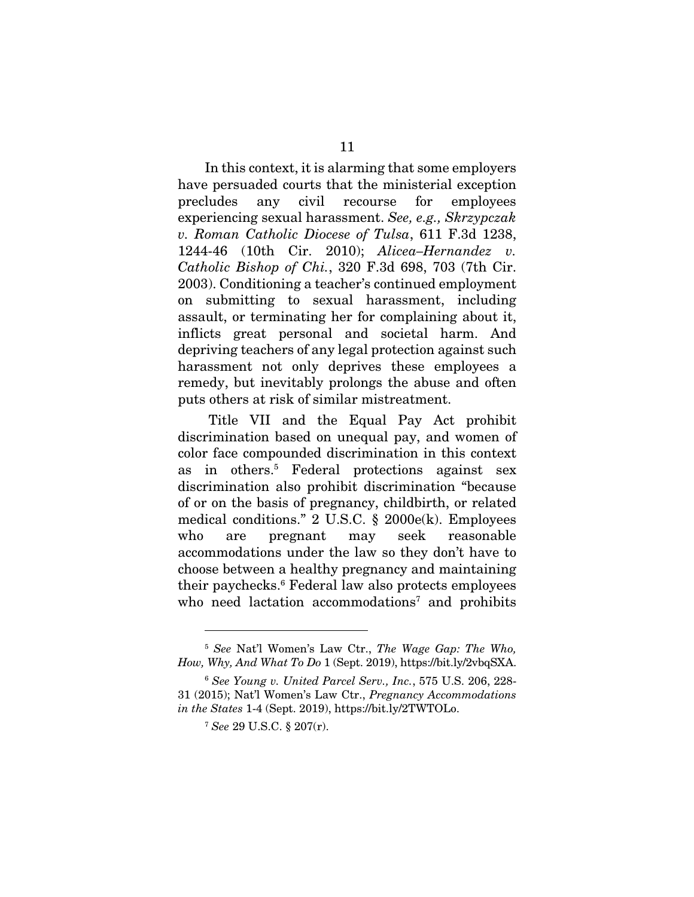In this context, it is alarming that some employers have persuaded courts that the ministerial exception precludes any civil recourse for employees experiencing sexual harassment. *See, e.g., Skrzypczak v. Roman Catholic Diocese of Tulsa*, 611 F.3d 1238, 1244-46 (10th Cir. 2010); *Alicea–Hernandez v. Catholic Bishop of Chi.*, 320 F.3d 698, 703 (7th Cir. 2003). Conditioning a teacher's continued employment on submitting to sexual harassment, including assault, or terminating her for complaining about it, inflicts great personal and societal harm. And depriving teachers of any legal protection against such harassment not only deprives these employees a remedy, but inevitably prolongs the abuse and often puts others at risk of similar mistreatment.

 Title VII and the Equal Pay Act prohibit discrimination based on unequal pay, and women of color face compounded discrimination in this context as in others.5 Federal protections against sex discrimination also prohibit discrimination "because of or on the basis of pregnancy, childbirth, or related medical conditions." 2 U.S.C. § 2000e(k). Employees who are pregnant may seek reasonable accommodations under the law so they don't have to choose between a healthy pregnancy and maintaining their paychecks.6 Federal law also protects employees who need lactation accommodations<sup>7</sup> and prohibits

<sup>5</sup> *See* Nat'l Women's Law Ctr., *The Wage Gap: The Who, How, Why, And What To Do* 1 (Sept. 2019), https://bit.ly/2vbqSXA.

<sup>6</sup> *See Young v. United Parcel Serv., Inc.*, 575 U.S. 206, 228- 31 (2015); Nat'l Women's Law Ctr., *Pregnancy Accommodations in the States* 1-4 (Sept. 2019), https://bit.ly/2TWTOLo.

<sup>7</sup> *See* 29 U.S.C. § 207(r).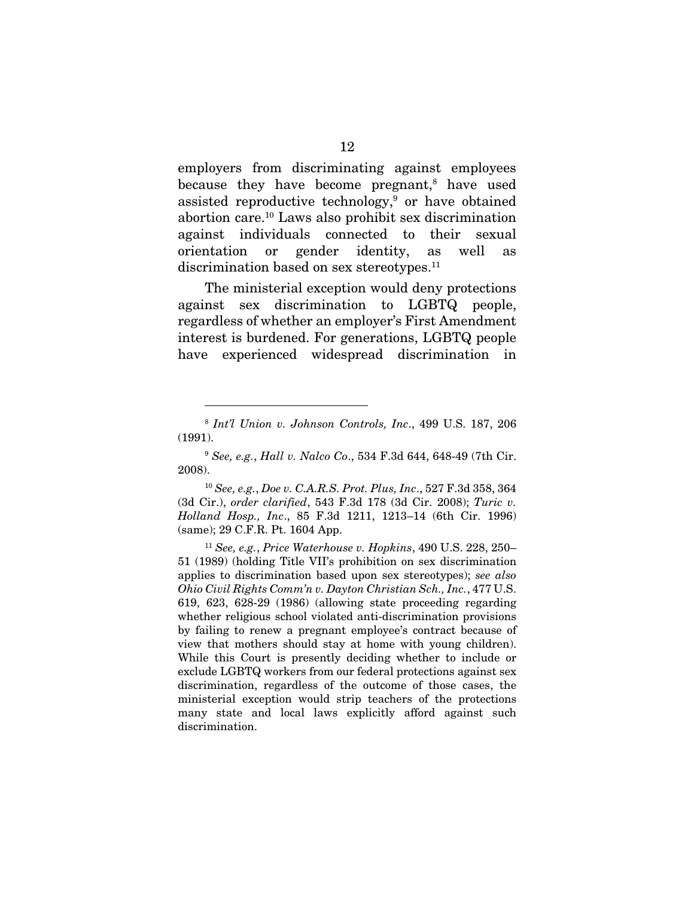employers from discriminating against employees because they have become pregnant,<sup>8</sup> have used assisted reproductive technology,<sup>9</sup> or have obtained abortion care.10 Laws also prohibit sex discrimination against individuals connected to their sexual orientation or gender identity, as well as discrimination based on sex stereotypes.<sup>11</sup>

The ministerial exception would deny protections against sex discrimination to LGBTQ people, regardless of whether an employer's First Amendment interest is burdened. For generations, LGBTQ people have experienced widespread discrimination in

<sup>8</sup> *Int'l Union v. Johnson Controls, Inc*., 499 U.S. 187, 206 (1991).

<sup>9</sup> *See, e.g.*, *Hall v. Nalco Co*., 534 F.3d 644, 648-49 (7th Cir. 2008).

<sup>10</sup> *See, e.g.*, *Doe v. C.A.R.S. Prot. Plus, Inc*., 527 F.3d 358, 364 (3d Cir.), *order clarified*, 543 F.3d 178 (3d Cir. 2008); *Turic v. Holland Hosp., Inc*., 85 F.3d 1211, 1213–14 (6th Cir. 1996) (same); 29 C.F.R. Pt. 1604 App.

<sup>11</sup> *See, e.g.*, *Price Waterhouse v. Hopkins*, 490 U.S. 228, 250– 51 (1989) (holding Title VII's prohibition on sex discrimination applies to discrimination based upon sex stereotypes); *see also Ohio Civil Rights Comm'n v. Dayton Christian Sch., Inc.*, 477 U.S. 619, 623, 628-29 (1986) (allowing state proceeding regarding whether religious school violated anti-discrimination provisions by failing to renew a pregnant employee's contract because of view that mothers should stay at home with young children). While this Court is presently deciding whether to include or exclude LGBTQ workers from our federal protections against sex discrimination, regardless of the outcome of those cases, the ministerial exception would strip teachers of the protections many state and local laws explicitly afford against such discrimination.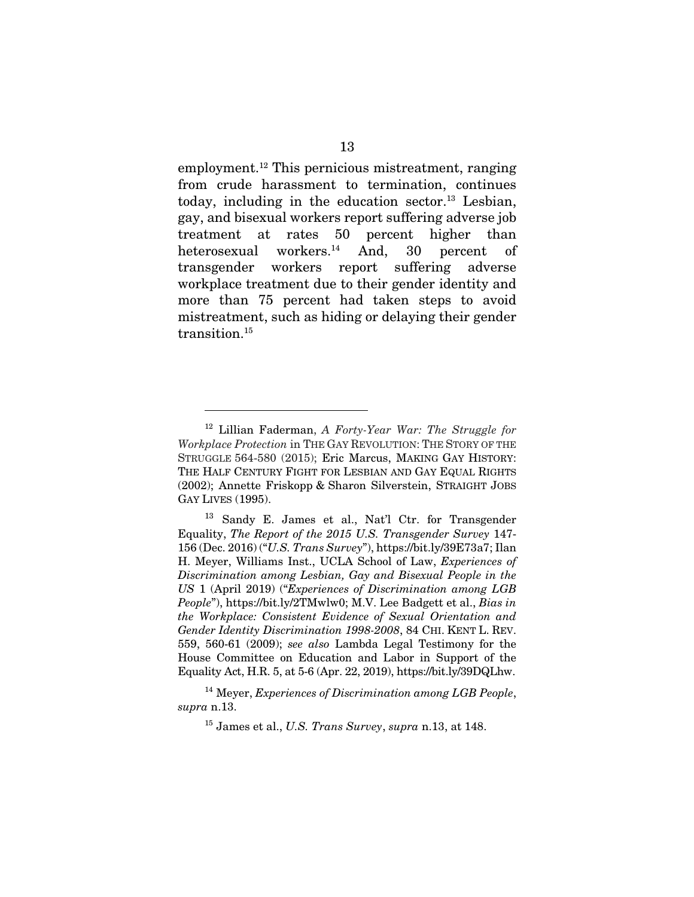employment.12 This pernicious mistreatment, ranging from crude harassment to termination, continues today, including in the education sector.<sup>13</sup> Lesbian, gay, and bisexual workers report suffering adverse job treatment at rates 50 percent higher than heterosexual workers.<sup>14</sup> And, 30 percent of transgender workers report suffering adverse workplace treatment due to their gender identity and more than 75 percent had taken steps to avoid mistreatment, such as hiding or delaying their gender transition.<sup>15</sup>

<sup>14</sup> Meyer, *Experiences of Discrimination among LGB People*, *supra* n.13.

<sup>12</sup> Lillian Faderman, *A Forty-Year War: The Struggle for Workplace Protection* in THE GAY REVOLUTION: THE STORY OF THE STRUGGLE 564-580 (2015); Eric Marcus, MAKING GAY HISTORY: THE HALF CENTURY FIGHT FOR LESBIAN AND GAY EQUAL RIGHTS (2002); Annette Friskopp & Sharon Silverstein, STRAIGHT JOBS GAY LIVES (1995).

<sup>13</sup> Sandy E. James et al., Nat'l Ctr. for Transgender Equality, *The Report of the 2015 U.S. Transgender Survey* 147- 156 (Dec. 2016) ("*U.S. Trans Survey*"), https://bit.ly/39E73a7; Ilan H. Meyer, Williams Inst., UCLA School of Law, *Experiences of Discrimination among Lesbian, Gay and Bisexual People in the US* 1 (April 2019) ("*Experiences of Discrimination among LGB People*"), https://bit.ly/2TMwlw0; M.V. Lee Badgett et al., *Bias in the Workplace: Consistent Evidence of Sexual Orientation and Gender Identity Discrimination 1998-2008*, 84 CHI. KENT L. REV. 559, 560-61 (2009); *see also* Lambda Legal Testimony for the House Committee on Education and Labor in Support of the Equality Act, H.R. 5, at 5-6 (Apr. 22, 2019), https://bit.ly/39DQLhw.

<sup>15</sup> James et al., *U.S. Trans Survey*, *supra* n.13, at 148.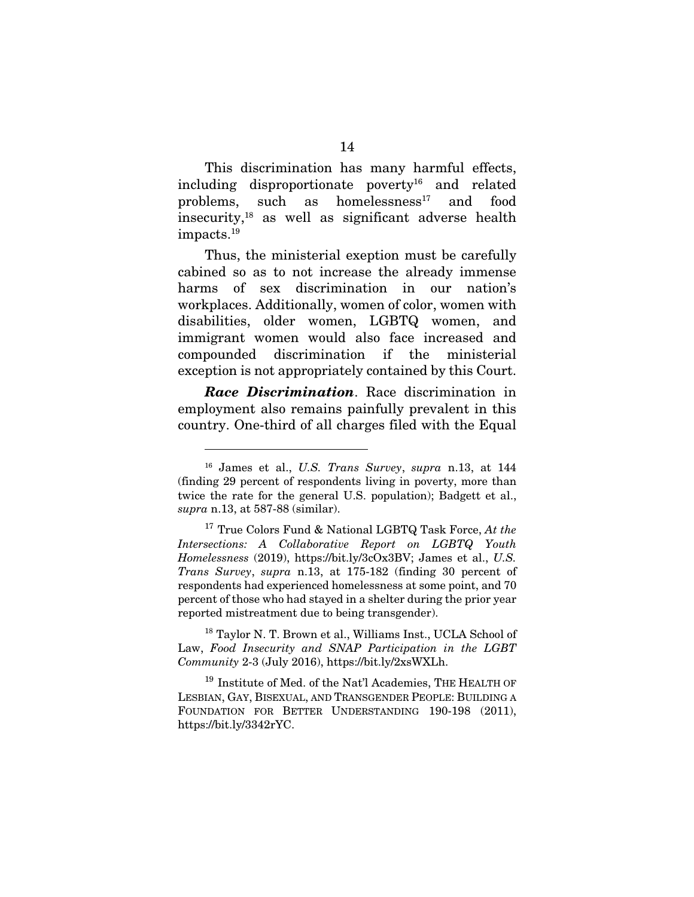This discrimination has many harmful effects, including disproportionate poverty<sup>16</sup> and related problems, such as homelessness<sup>17</sup> and food insecurity,18 as well as significant adverse health impacts.19

Thus, the ministerial exeption must be carefully cabined so as to not increase the already immense harms of sex discrimination in our nation's workplaces. Additionally, women of color, women with disabilities, older women, LGBTQ women, and immigrant women would also face increased and compounded discrimination if the ministerial exception is not appropriately contained by this Court.

*Race Discrimination*. Race discrimination in employment also remains painfully prevalent in this country. One-third of all charges filed with the Equal

<sup>16</sup> James et al., *U.S. Trans Survey*, *supra* n.13, at 144 (finding 29 percent of respondents living in poverty, more than twice the rate for the general U.S. population); Badgett et al., *supra* n.13, at 587-88 (similar).

<sup>17</sup> True Colors Fund & National LGBTQ Task Force, *At the Intersections: A Collaborative Report on LGBTQ Youth Homelessness* (2019), https://bit.ly/3cOx3BV; James et al., *U.S. Trans Survey*, *supra* n.13, at 175-182 (finding 30 percent of respondents had experienced homelessness at some point, and 70 percent of those who had stayed in a shelter during the prior year reported mistreatment due to being transgender).

<sup>&</sup>lt;sup>18</sup> Taylor N. T. Brown et al., Williams Inst., UCLA School of Law, *Food Insecurity and SNAP Participation in the LGBT Community* 2-3 (July 2016), https://bit.ly/2xsWXLh.

<sup>&</sup>lt;sup>19</sup> Institute of Med. of the Nat'l Academies, THE HEALTH OF LESBIAN, GAY, BISEXUAL, AND TRANSGENDER PEOPLE: BUILDING A FOUNDATION FOR BETTER UNDERSTANDING 190-198 (2011), https://bit.ly/3342rYC.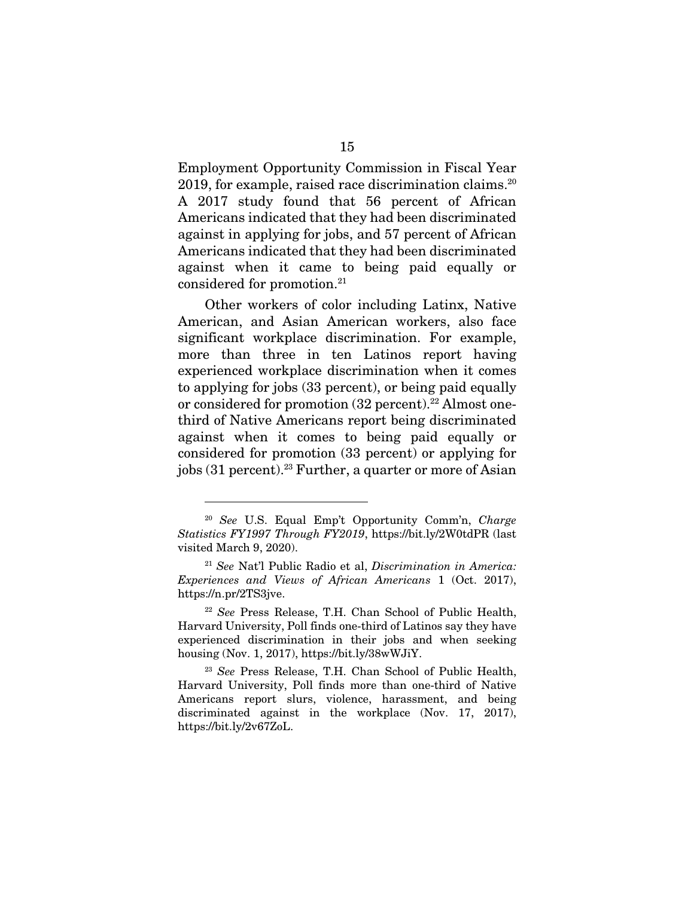Employment Opportunity Commission in Fiscal Year 2019, for example, raised race discrimination claims.20 A 2017 study found that 56 percent of African Americans indicated that they had been discriminated against in applying for jobs, and 57 percent of African Americans indicated that they had been discriminated against when it came to being paid equally or considered for promotion.21

Other workers of color including Latinx, Native American, and Asian American workers, also face significant workplace discrimination. For example, more than three in ten Latinos report having experienced workplace discrimination when it comes to applying for jobs (33 percent), or being paid equally or considered for promotion (32 percent).<sup>22</sup> Almost onethird of Native Americans report being discriminated against when it comes to being paid equally or considered for promotion (33 percent) or applying for jobs (31 percent).23 Further, a quarter or more of Asian

<sup>20</sup> *See* U.S. Equal Emp't Opportunity Comm'n, *Charge Statistics FY1997 Through FY2019*, https://bit.ly/2W0tdPR (last visited March 9, 2020).

<sup>21</sup> *See* Nat'l Public Radio et al, *Discrimination in America: Experiences and Views of African Americans* 1 (Oct. 2017), https://n.pr/2TS3jve.

<sup>22</sup> *See* Press Release, T.H. Chan School of Public Health, Harvard University, Poll finds one-third of Latinos say they have experienced discrimination in their jobs and when seeking housing (Nov. 1, 2017), https://bit.ly/38wWJiY.

<sup>23</sup> *See* Press Release, T.H. Chan School of Public Health, Harvard University, Poll finds more than one-third of Native Americans report slurs, violence, harassment, and being discriminated against in the workplace (Nov. 17, 2017), https://bit.ly/2v67ZoL.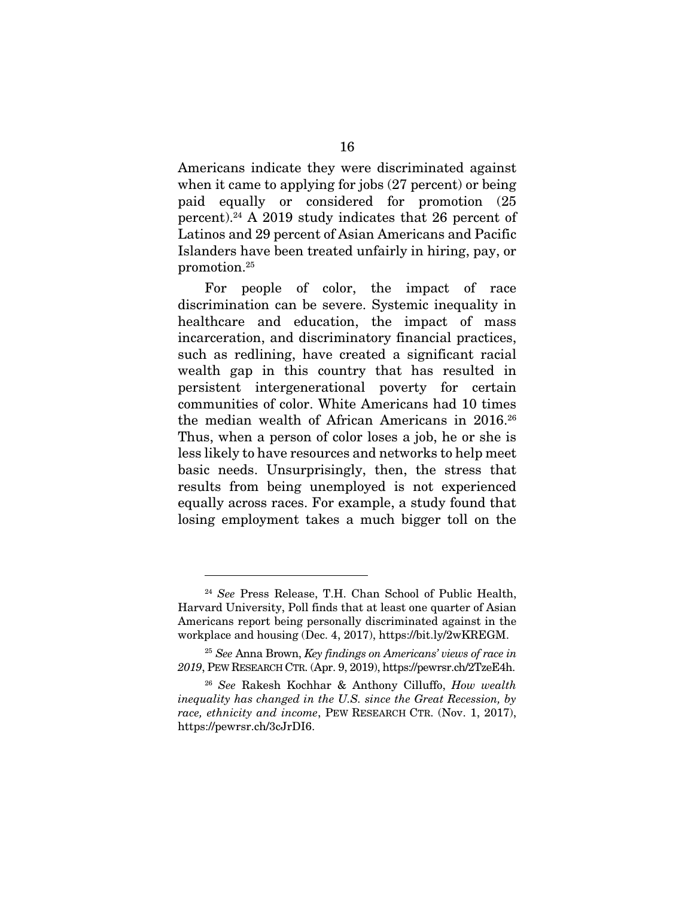Americans indicate they were discriminated against when it came to applying for jobs (27 percent) or being paid equally or considered for promotion (25 percent).24 A 2019 study indicates that 26 percent of Latinos and 29 percent of Asian Americans and Pacific Islanders have been treated unfairly in hiring, pay, or promotion.25

For people of color, the impact of race discrimination can be severe. Systemic inequality in healthcare and education, the impact of mass incarceration, and discriminatory financial practices, such as redlining, have created a significant racial wealth gap in this country that has resulted in persistent intergenerational poverty for certain communities of color. White Americans had 10 times the median wealth of African Americans in 2016.<sup>26</sup> Thus, when a person of color loses a job, he or she is less likely to have resources and networks to help meet basic needs. Unsurprisingly, then, the stress that results from being unemployed is not experienced equally across races. For example, a study found that losing employment takes a much bigger toll on the

<sup>24</sup> *See* Press Release, T.H. Chan School of Public Health, Harvard University, Poll finds that at least one quarter of Asian Americans report being personally discriminated against in the workplace and housing (Dec. 4, 2017), https://bit.ly/2wKREGM.

<sup>25</sup> *See* Anna Brown, *Key findings on Americans' views of race in 2019*, PEW RESEARCH CTR. (Apr. 9, 2019), https://pewrsr.ch/2TzeE4h.

<sup>26</sup> *See* Rakesh Kochhar & Anthony Cilluffo, *How wealth inequality has changed in the U.S. since the Great Recession, by race, ethnicity and income*, PEW RESEARCH CTR. (Nov. 1, 2017), https://pewrsr.ch/3cJrDI6.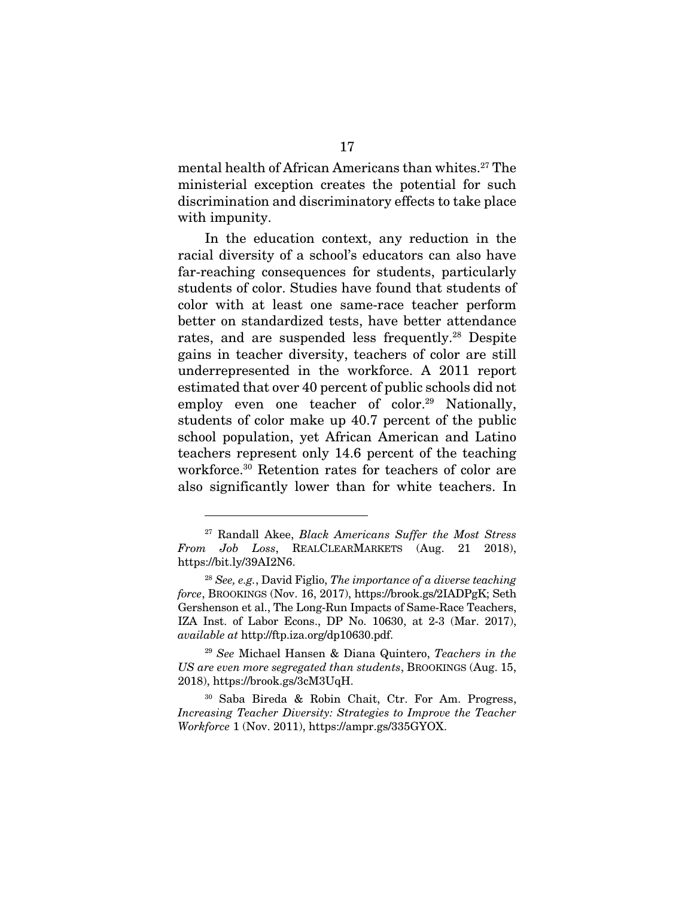mental health of African Americans than whites.27 The ministerial exception creates the potential for such discrimination and discriminatory effects to take place with impunity.

In the education context, any reduction in the racial diversity of a school's educators can also have far-reaching consequences for students, particularly students of color. Studies have found that students of color with at least one same-race teacher perform better on standardized tests, have better attendance rates, and are suspended less frequently.<sup>28</sup> Despite gains in teacher diversity, teachers of color are still underrepresented in the workforce. A 2011 report estimated that over 40 percent of public schools did not employ even one teacher of color.<sup>29</sup> Nationally, students of color make up 40.7 percent of the public school population, yet African American and Latino teachers represent only 14.6 percent of the teaching workforce.30 Retention rates for teachers of color are also significantly lower than for white teachers. In

<sup>29</sup> *See* Michael Hansen & Diana Quintero, *Teachers in the US are even more segregated than students*, BROOKINGS (Aug. 15, 2018), https://brook.gs/3cM3UqH.

<sup>27</sup> Randall Akee, *Black Americans Suffer the Most Stress From Job Loss*, REALCLEARMARKETS (Aug. 21 2018), https://bit.ly/39AI2N6.

<sup>28</sup> *See, e.g.*, David Figlio, *The importance of a diverse teaching force*, BROOKINGS (Nov. 16, 2017), https://brook.gs/2IADPgK; Seth Gershenson et al., The Long-Run Impacts of Same-Race Teachers, IZA Inst. of Labor Econs., DP No. 10630, at 2-3 (Mar. 2017), *available at* http://ftp.iza.org/dp10630.pdf.

<sup>30</sup> Saba Bireda & Robin Chait, Ctr. For Am. Progress, *Increasing Teacher Diversity: Strategies to Improve the Teacher Workforce* 1 (Nov. 2011), https://ampr.gs/335GYOX.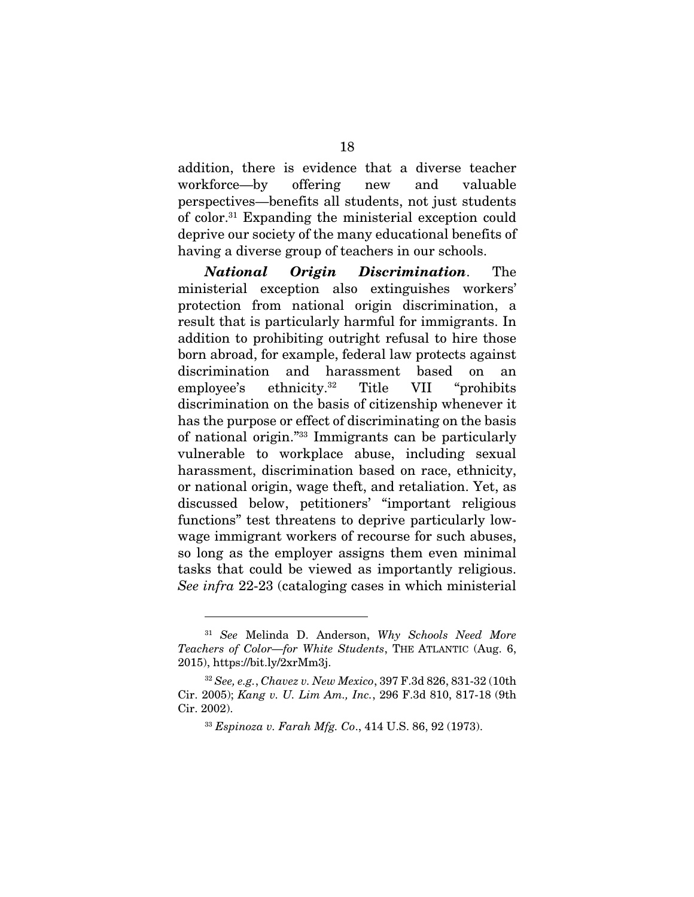addition, there is evidence that a diverse teacher workforce—by offering new and valuable perspectives—benefits all students, not just students of color.31 Expanding the ministerial exception could deprive our society of the many educational benefits of having a diverse group of teachers in our schools.

*National Origin Discrimination*. The ministerial exception also extinguishes workers' protection from national origin discrimination, a result that is particularly harmful for immigrants. In addition to prohibiting outright refusal to hire those born abroad, for example, federal law protects against discrimination and harassment based on an employee's ethnicity.32 Title VII "prohibits discrimination on the basis of citizenship whenever it has the purpose or effect of discriminating on the basis of national origin."33 Immigrants can be particularly vulnerable to workplace abuse, including sexual harassment, discrimination based on race, ethnicity, or national origin, wage theft, and retaliation. Yet, as discussed below, petitioners' "important religious functions" test threatens to deprive particularly lowwage immigrant workers of recourse for such abuses, so long as the employer assigns them even minimal tasks that could be viewed as importantly religious. *See infra* 22-23 (cataloging cases in which ministerial

<sup>31</sup> *See* Melinda D. Anderson, *Why Schools Need More Teachers of Color—for White Students*, THE ATLANTIC (Aug. 6, 2015), https://bit.ly/2xrMm3j.

<sup>32</sup> *See, e.g.*, *Chavez v. New Mexico*, 397 F.3d 826, 831-32 (10th Cir. 2005); *Kang v. U. Lim Am., Inc.*, 296 F.3d 810, 817-18 (9th Cir. 2002).

<sup>33</sup> *Espinoza v. Farah Mfg. Co*., 414 U.S. 86, 92 (1973).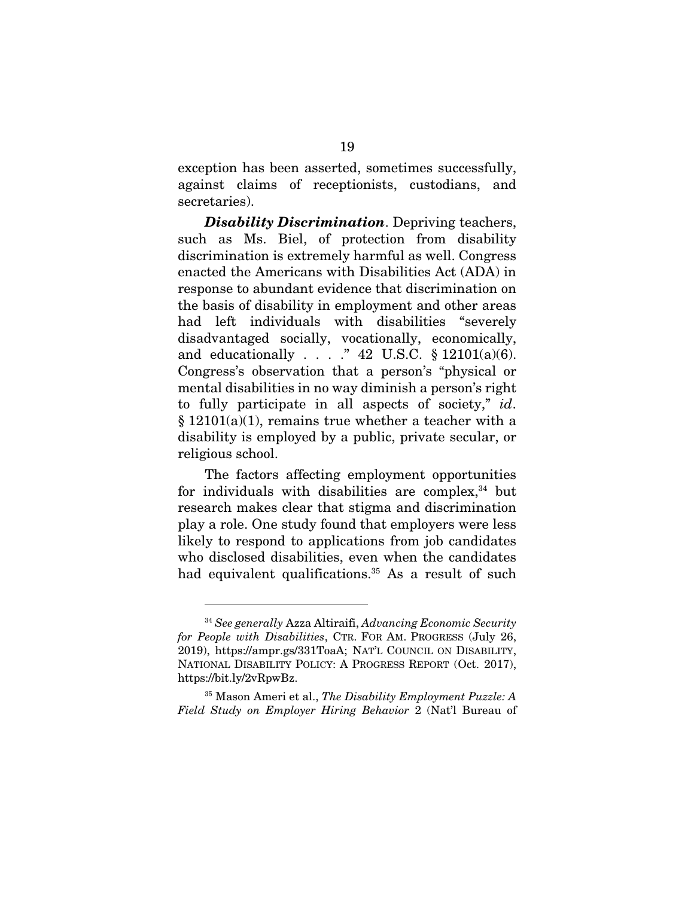exception has been asserted, sometimes successfully, against claims of receptionists, custodians, and secretaries).

*Disability Discrimination*. Depriving teachers, such as Ms. Biel, of protection from disability discrimination is extremely harmful as well. Congress enacted the Americans with Disabilities Act (ADA) in response to abundant evidence that discrimination on the basis of disability in employment and other areas had left individuals with disabilities "severely disadvantaged socially, vocationally, economically, and educationally . . . ." 42 U.S.C. § 12101(a)(6). Congress's observation that a person's "physical or mental disabilities in no way diminish a person's right to fully participate in all aspects of society," *id*.  $§ 12101(a)(1)$ , remains true whether a teacher with a disability is employed by a public, private secular, or religious school.

The factors affecting employment opportunities for individuals with disabilities are complex, $34$  but research makes clear that stigma and discrimination play a role. One study found that employers were less likely to respond to applications from job candidates who disclosed disabilities, even when the candidates had equivalent qualifications.<sup>35</sup> As a result of such

<sup>34</sup> *See generally* Azza Altiraifi, *Advancing Economic Security for People with Disabilities*, CTR. FOR AM. PROGRESS (July 26, 2019), https://ampr.gs/331ToaA; NAT'L COUNCIL ON DISABILITY, NATIONAL DISABILITY POLICY: A PROGRESS REPORT (Oct. 2017), https://bit.ly/2vRpwBz.

<sup>35</sup> Mason Ameri et al., *The Disability Employment Puzzle: A Field Study on Employer Hiring Behavior* 2 (Nat'l Bureau of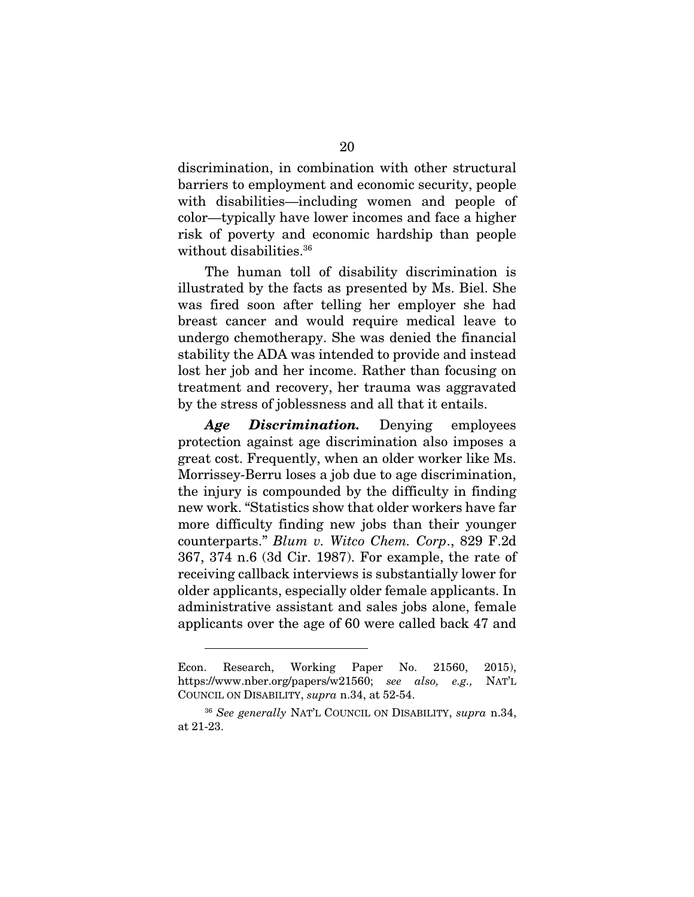discrimination, in combination with other structural barriers to employment and economic security, people with disabilities—including women and people of color—typically have lower incomes and face a higher risk of poverty and economic hardship than people without disabilities.<sup>36</sup>

The human toll of disability discrimination is illustrated by the facts as presented by Ms. Biel. She was fired soon after telling her employer she had breast cancer and would require medical leave to undergo chemotherapy. She was denied the financial stability the ADA was intended to provide and instead lost her job and her income. Rather than focusing on treatment and recovery, her trauma was aggravated by the stress of joblessness and all that it entails.

*Age Discrimination.* Denying employees protection against age discrimination also imposes a great cost. Frequently, when an older worker like Ms. Morrissey-Berru loses a job due to age discrimination, the injury is compounded by the difficulty in finding new work. "Statistics show that older workers have far more difficulty finding new jobs than their younger counterparts." *Blum v. Witco Chem. Corp*., 829 F.2d 367, 374 n.6 (3d Cir. 1987). For example, the rate of receiving callback interviews is substantially lower for older applicants, especially older female applicants. In administrative assistant and sales jobs alone, female applicants over the age of 60 were called back 47 and

Econ. Research, Working Paper No. 21560, 2015), https://www.nber.org/papers/w21560; *see also, e.g.,* NAT'L COUNCIL ON DISABILITY, *supra* n.34, at 52-54.

<sup>36</sup> *See generally* NAT'L COUNCIL ON DISABILITY, *supra* n.34, at 21-23.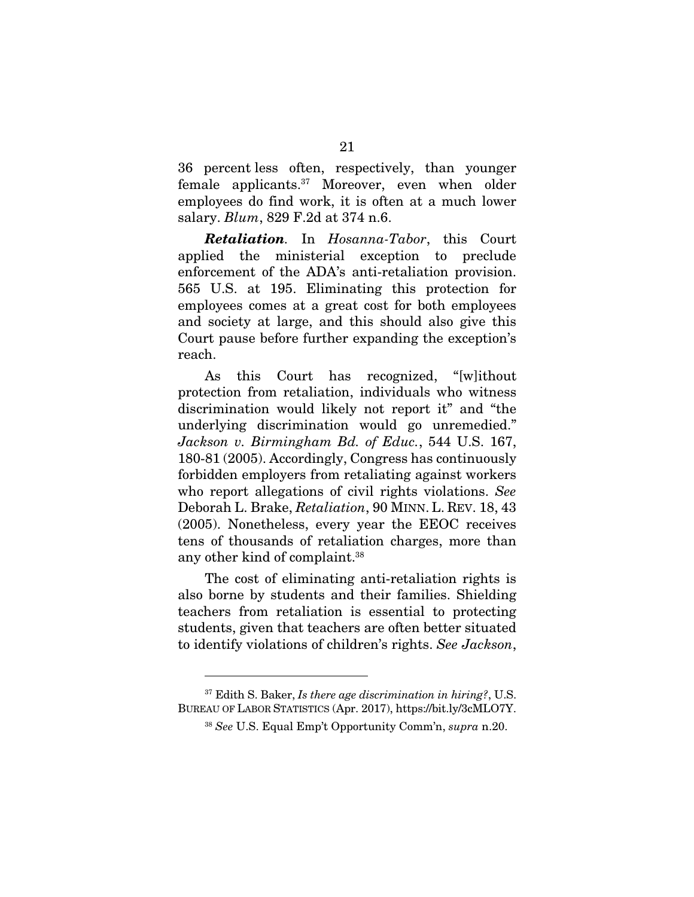36 percent less often, respectively, than younger female applicants.37 Moreover, even when older employees do find work, it is often at a much lower salary. *Blum*, 829 F.2d at 374 n.6.

*Retaliation.* In *Hosanna-Tabor*, this Court applied the ministerial exception to preclude enforcement of the ADA's anti-retaliation provision. 565 U.S. at 195. Eliminating this protection for employees comes at a great cost for both employees and society at large, and this should also give this Court pause before further expanding the exception's reach.

As this Court has recognized, "[w]ithout protection from retaliation, individuals who witness discrimination would likely not report it" and "the underlying discrimination would go unremedied." *Jackson v. Birmingham Bd. of Educ.*, 544 U.S. 167, 180-81 (2005). Accordingly, Congress has continuously forbidden employers from retaliating against workers who report allegations of civil rights violations. *See*  Deborah L. Brake, *Retaliation*, 90 MINN. L. REV. 18, 43 (2005). Nonetheless, every year the EEOC receives tens of thousands of retaliation charges, more than any other kind of complaint.38

The cost of eliminating anti-retaliation rights is also borne by students and their families. Shielding teachers from retaliation is essential to protecting students, given that teachers are often better situated to identify violations of children's rights. *See Jackson*,

<sup>37</sup> Edith S. Baker, *Is there age discrimination in hiring?*, U.S. BUREAU OF LABOR STATISTICS (Apr. 2017), https://bit.ly/3cMLO7Y.

<sup>38</sup> *See* U.S. Equal Emp't Opportunity Comm'n, *supra* n.20.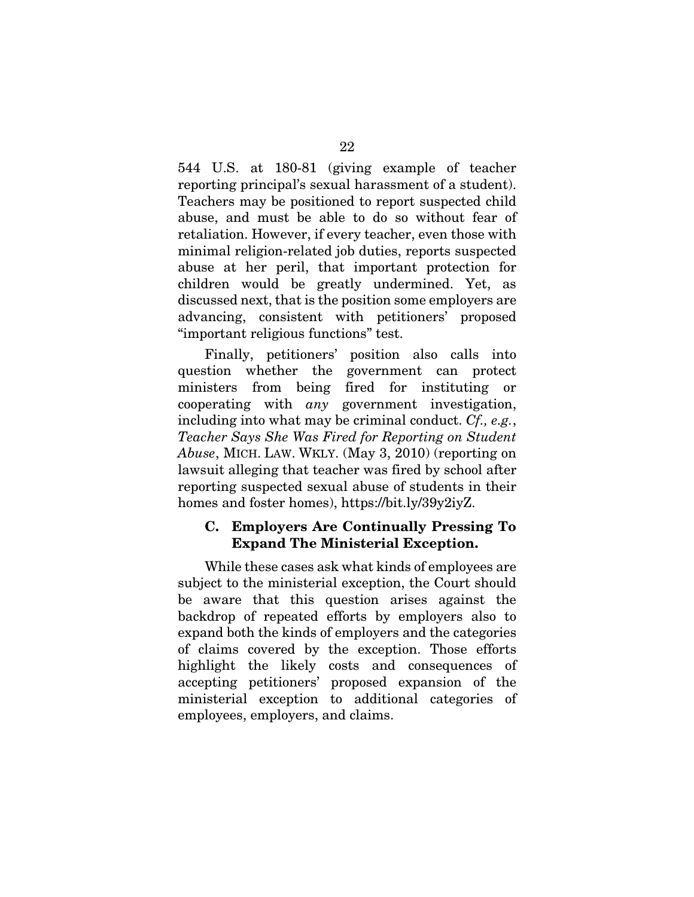544 U.S. at 180-81 (giving example of teacher reporting principal's sexual harassment of a student). Teachers may be positioned to report suspected child abuse, and must be able to do so without fear of retaliation. However, if every teacher, even those with minimal religion-related job duties, reports suspected abuse at her peril, that important protection for children would be greatly undermined. Yet, as discussed next, that is the position some employers are advancing, consistent with petitioners' proposed "important religious functions" test.

Finally, petitioners' position also calls into question whether the government can protect ministers from being fired for instituting or cooperating with *any* government investigation, including into what may be criminal conduct. *Cf., e.g.*, *Teacher Says She Was Fired for Reporting on Student Abuse*, MICH. LAW. WKLY. (May 3, 2010) (reporting on lawsuit alleging that teacher was fired by school after reporting suspected sexual abuse of students in their homes and foster homes), https://bit.ly/39y2iyZ.

#### C. Employers Are Continually Pressing To Expand The Ministerial Exception.

While these cases ask what kinds of employees are subject to the ministerial exception, the Court should be aware that this question arises against the backdrop of repeated efforts by employers also to expand both the kinds of employers and the categories of claims covered by the exception. Those efforts highlight the likely costs and consequences of accepting petitioners' proposed expansion of the ministerial exception to additional categories of employees, employers, and claims.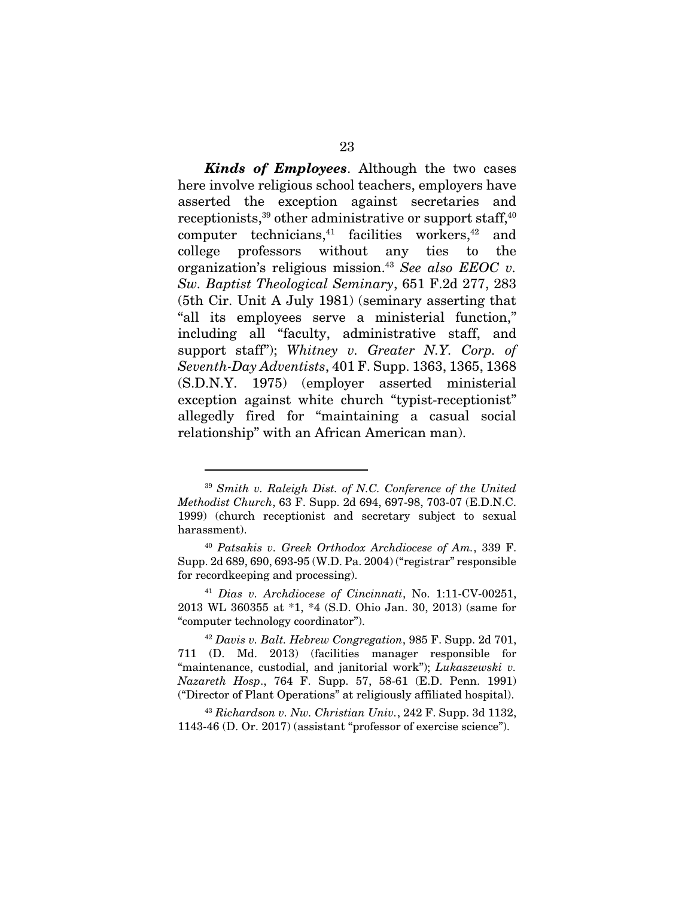*Kinds of Employees*. Although the two cases here involve religious school teachers, employers have asserted the exception against secretaries and receptionists,<sup>39</sup> other administrative or support staff,<sup>40</sup> computer technicians,<sup>41</sup> facilities workers,<sup>42</sup> and college professors without any ties to the organization's religious mission.43 *See also EEOC v. Sw. Baptist Theological Seminary*, 651 F.2d 277, 283 (5th Cir. Unit A July 1981) (seminary asserting that "all its employees serve a ministerial function," including all "faculty, administrative staff, and support staff"); *Whitney v. Greater N.Y. Corp. of Seventh-Day Adventists*, 401 F. Supp. 1363, 1365, 1368 (S.D.N.Y. 1975) (employer asserted ministerial exception against white church "typist-receptionist" allegedly fired for "maintaining a casual social relationship" with an African American man).

<sup>39</sup> *Smith v. Raleigh Dist. of N.C. Conference of the United Methodist Church*, 63 F. Supp. 2d 694, 697-98, 703-07 (E.D.N.C. 1999) (church receptionist and secretary subject to sexual harassment).

<sup>40</sup> *Patsakis v. Greek Orthodox Archdiocese of Am.*, 339 F. Supp. 2d 689, 690, 693-95 (W.D. Pa. 2004) ("registrar" responsible for recordkeeping and processing).

<sup>41</sup> *Dias v. Archdiocese of Cincinnati*, No. 1:11-CV-00251, 2013 WL 360355 at \*1, \*4 (S.D. Ohio Jan. 30, 2013) (same for "computer technology coordinator").

<sup>42</sup> *Davis v. Balt. Hebrew Congregation*, 985 F. Supp. 2d 701, 711 (D. Md. 2013) (facilities manager responsible for "maintenance, custodial, and janitorial work"); *Lukaszewski v. Nazareth Hosp*., 764 F. Supp. 57, 58-61 (E.D. Penn. 1991) ("Director of Plant Operations" at religiously affiliated hospital).

<sup>43</sup> *Richardson v. Nw. Christian Univ.*, 242 F. Supp. 3d 1132, 1143-46 (D. Or. 2017) (assistant "professor of exercise science").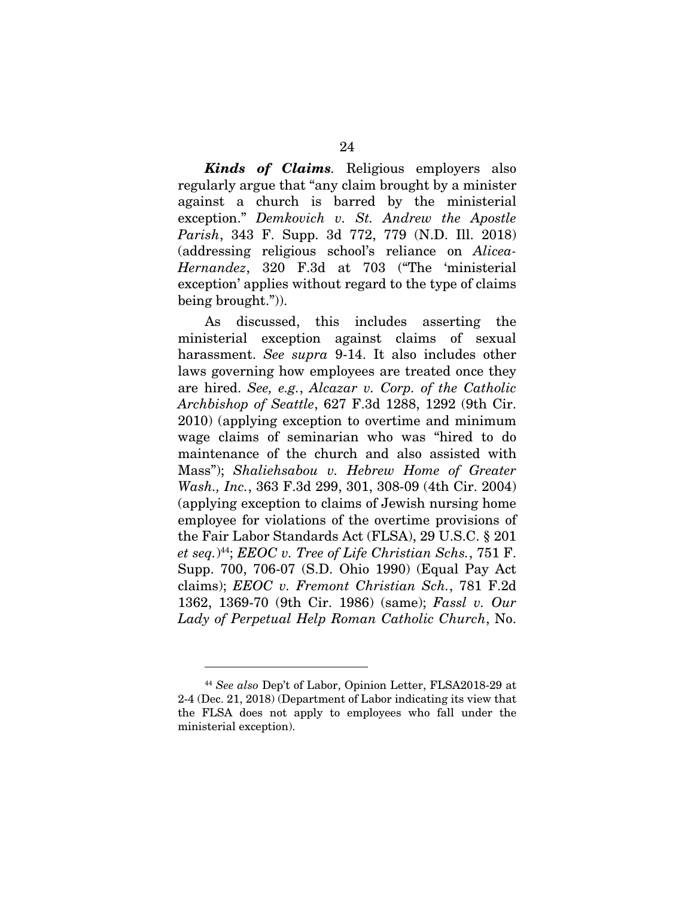*Kinds of Claims.* Religious employers also regularly argue that "any claim brought by a minister against a church is barred by the ministerial exception." *Demkovich v. St. Andrew the Apostle Parish*, 343 F. Supp. 3d 772, 779 (N.D. Ill. 2018) (addressing religious school's reliance on *Alicea-Hernandez*, 320 F.3d at 703 ("The 'ministerial exception' applies without regard to the type of claims being brought.")).

As discussed, this includes asserting the ministerial exception against claims of sexual harassment. *See supra* 9-14. It also includes other laws governing how employees are treated once they are hired. *See, e.g.*, *Alcazar v. Corp. of the Catholic Archbishop of Seattle*, 627 F.3d 1288, 1292 (9th Cir. 2010) (applying exception to overtime and minimum wage claims of seminarian who was "hired to do maintenance of the church and also assisted with Mass"); *Shaliehsabou v. Hebrew Home of Greater Wash., Inc.*, 363 F.3d 299, 301, 308-09 (4th Cir. 2004) (applying exception to claims of Jewish nursing home employee for violations of the overtime provisions of the Fair Labor Standards Act (FLSA), 29 U.S.C. § 201 *et seq.*) 44; *EEOC v. Tree of Life Christian Schs.*, 751 F. Supp. 700, 706-07 (S.D. Ohio 1990) (Equal Pay Act claims); *EEOC v. Fremont Christian Sch.*, 781 F.2d 1362, 1369-70 (9th Cir. 1986) (same); *Fassl v. Our Lady of Perpetual Help Roman Catholic Church*, No.

<sup>44</sup> *See also* Dep't of Labor, Opinion Letter, FLSA2018-29 at 2-4 (Dec. 21, 2018) (Department of Labor indicating its view that the FLSA does not apply to employees who fall under the ministerial exception).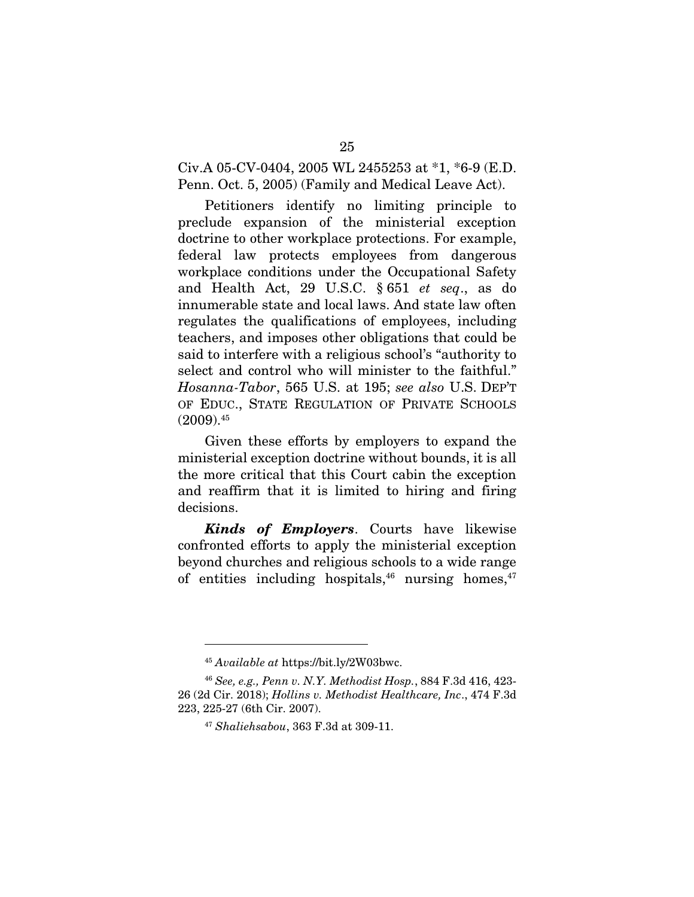Civ.A 05-CV-0404, 2005 WL 2455253 at \*1, \*6-9 (E.D. Penn. Oct. 5, 2005) (Family and Medical Leave Act).

Petitioners identify no limiting principle to preclude expansion of the ministerial exception doctrine to other workplace protections. For example, federal law protects employees from dangerous workplace conditions under the Occupational Safety and Health Act, 29 U.S.C. § 651 *et seq*., as do innumerable state and local laws. And state law often regulates the qualifications of employees, including teachers, and imposes other obligations that could be said to interfere with a religious school's "authority to select and control who will minister to the faithful." *Hosanna-Tabor*, 565 U.S. at 195; *see also* U.S. DEP'T OF EDUC., STATE REGULATION OF PRIVATE SCHOOLS  $(2009).45$ 

Given these efforts by employers to expand the ministerial exception doctrine without bounds, it is all the more critical that this Court cabin the exception and reaffirm that it is limited to hiring and firing decisions.

*Kinds of Employers*. Courts have likewise confronted efforts to apply the ministerial exception beyond churches and religious schools to a wide range of entities including hospitals,  $46$  nursing homes,  $47$ 

<sup>45</sup> *Available at* https://bit.ly/2W03bwc.

<sup>46</sup> *See, e.g., Penn v. N.Y. Methodist Hosp.*, 884 F.3d 416, 423- 26 (2d Cir. 2018); *Hollins v. Methodist Healthcare, Inc*., 474 F.3d 223, 225-27 (6th Cir. 2007).

<sup>47</sup> *Shaliehsabou*, 363 F.3d at 309-11.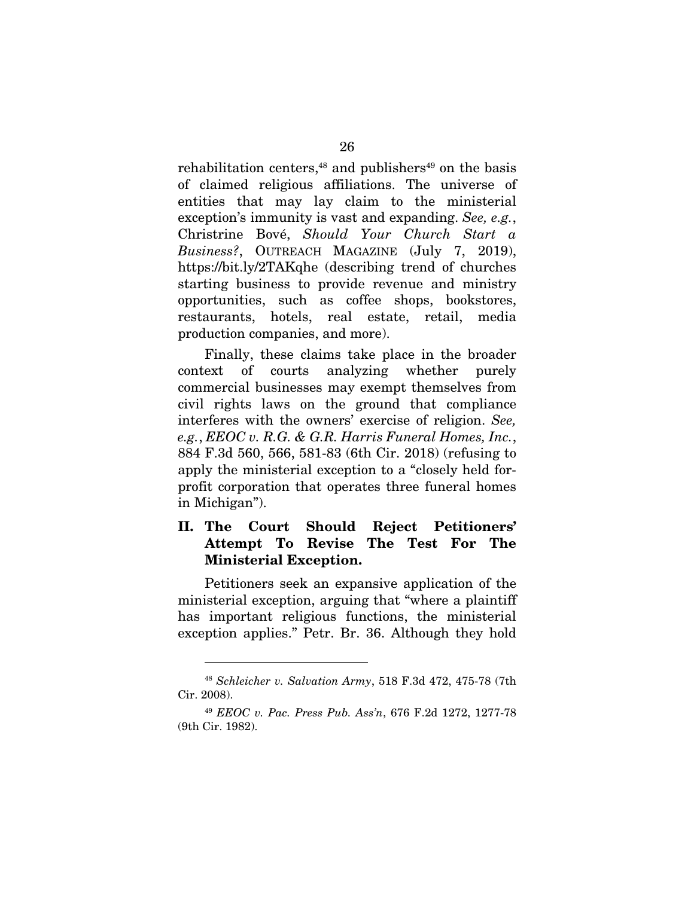rehabilitation centers, $48$  and publishers $49$  on the basis of claimed religious affiliations. The universe of entities that may lay claim to the ministerial exception's immunity is vast and expanding. *See, e.g.*, Christrine Bové, *Should Your Church Start a Business?*, OUTREACH MAGAZINE (July 7, 2019), https://bit.ly/2TAKqhe (describing trend of churches starting business to provide revenue and ministry opportunities, such as coffee shops, bookstores, restaurants, hotels, real estate, retail, media production companies, and more).

Finally, these claims take place in the broader context of courts analyzing whether purely commercial businesses may exempt themselves from civil rights laws on the ground that compliance interferes with the owners' exercise of religion. *See, e.g.*, *EEOC v. R.G. & G.R. Harris Funeral Homes, Inc.*, 884 F.3d 560, 566, 581-83 (6th Cir. 2018) (refusing to apply the ministerial exception to a "closely held forprofit corporation that operates three funeral homes in Michigan").

### II. The Court Should Reject Petitioners' Attempt To Revise The Test For The Ministerial Exception.

Petitioners seek an expansive application of the ministerial exception, arguing that "where a plaintiff has important religious functions, the ministerial exception applies." Petr. Br. 36. Although they hold

<sup>48</sup> *Schleicher v. Salvation Army*, 518 F.3d 472, 475-78 (7th Cir. 2008).

<sup>49</sup> *EEOC v. Pac. Press Pub. Ass'n*, 676 F.2d 1272, 1277-78 (9th Cir. 1982).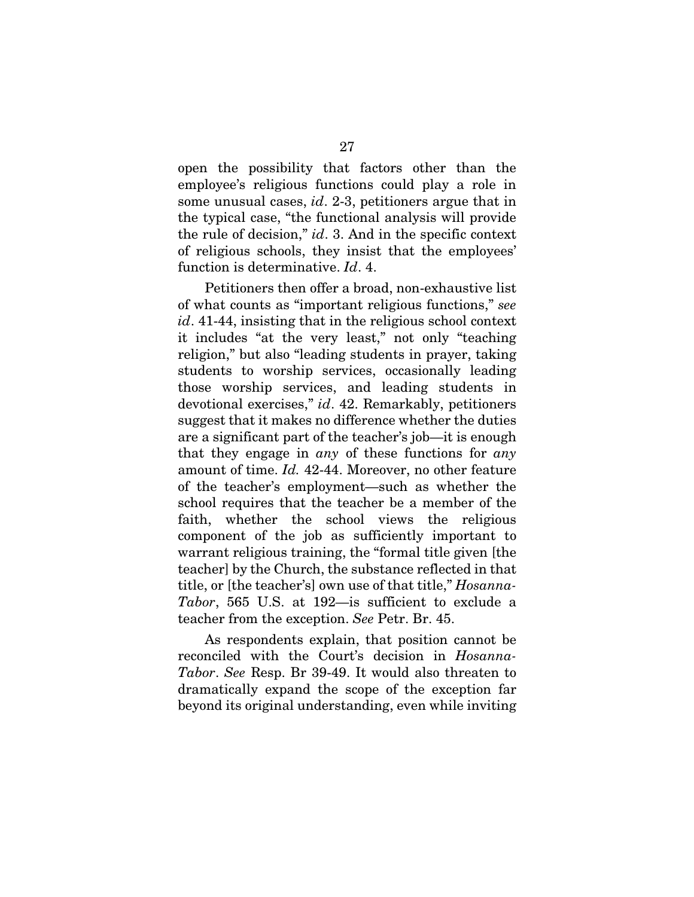open the possibility that factors other than the employee's religious functions could play a role in some unusual cases, *id*. 2-3, petitioners argue that in the typical case, "the functional analysis will provide the rule of decision," *id*. 3. And in the specific context of religious schools, they insist that the employees' function is determinative. *Id*. 4.

Petitioners then offer a broad, non-exhaustive list of what counts as "important religious functions," *see id*. 41-44, insisting that in the religious school context it includes "at the very least," not only "teaching religion," but also "leading students in prayer, taking students to worship services, occasionally leading those worship services, and leading students in devotional exercises," *id*. 42. Remarkably, petitioners suggest that it makes no difference whether the duties are a significant part of the teacher's job—it is enough that they engage in *any* of these functions for *any* amount of time. *Id.* 42-44. Moreover, no other feature of the teacher's employment—such as whether the school requires that the teacher be a member of the faith, whether the school views the religious component of the job as sufficiently important to warrant religious training, the "formal title given [the teacher] by the Church, the substance reflected in that title, or [the teacher's] own use of that title," *Hosanna-Tabor*, 565 U.S. at 192—is sufficient to exclude a teacher from the exception. *See* Petr. Br. 45.

As respondents explain, that position cannot be reconciled with the Court's decision in *Hosanna-Tabor*. *See* Resp. Br 39-49. It would also threaten to dramatically expand the scope of the exception far beyond its original understanding, even while inviting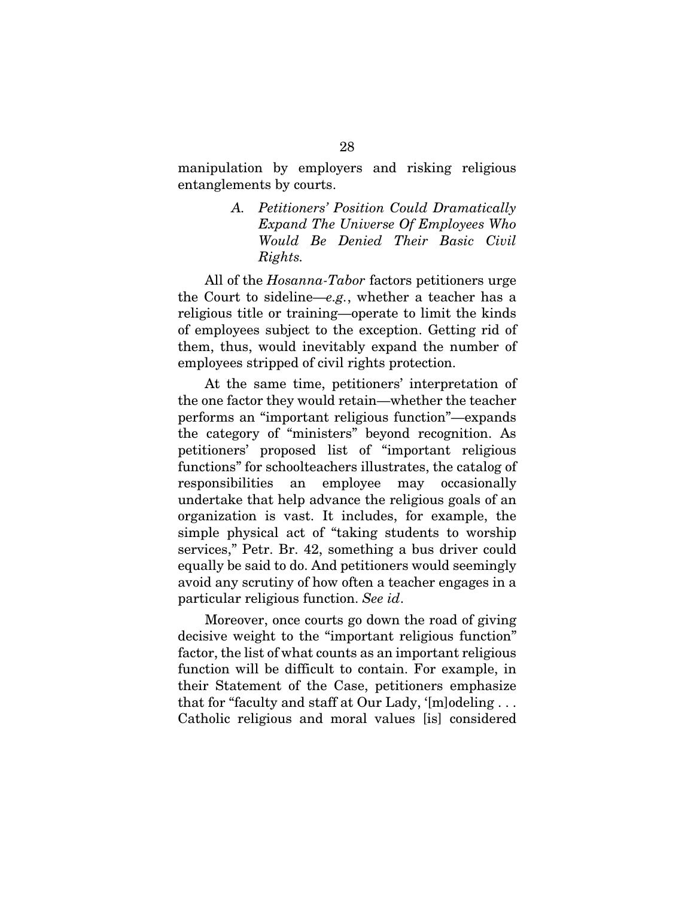manipulation by employers and risking religious entanglements by courts.

> *A. Petitioners' Position Could Dramatically Expand The Universe Of Employees Who Would Be Denied Their Basic Civil Rights.*

All of the *Hosanna-Tabor* factors petitioners urge the Court to sideline—*e.g.*, whether a teacher has a religious title or training—operate to limit the kinds of employees subject to the exception. Getting rid of them, thus, would inevitably expand the number of employees stripped of civil rights protection.

At the same time, petitioners' interpretation of the one factor they would retain—whether the teacher performs an "important religious function"—expands the category of "ministers" beyond recognition. As petitioners' proposed list of "important religious functions" for schoolteachers illustrates, the catalog of responsibilities an employee may occasionally undertake that help advance the religious goals of an organization is vast. It includes, for example, the simple physical act of "taking students to worship services," Petr. Br. 42, something a bus driver could equally be said to do. And petitioners would seemingly avoid any scrutiny of how often a teacher engages in a particular religious function. *See id*.

Moreover, once courts go down the road of giving decisive weight to the "important religious function" factor, the list of what counts as an important religious function will be difficult to contain. For example, in their Statement of the Case, petitioners emphasize that for "faculty and staff at Our Lady, '[m]odeling . . . Catholic religious and moral values [is] considered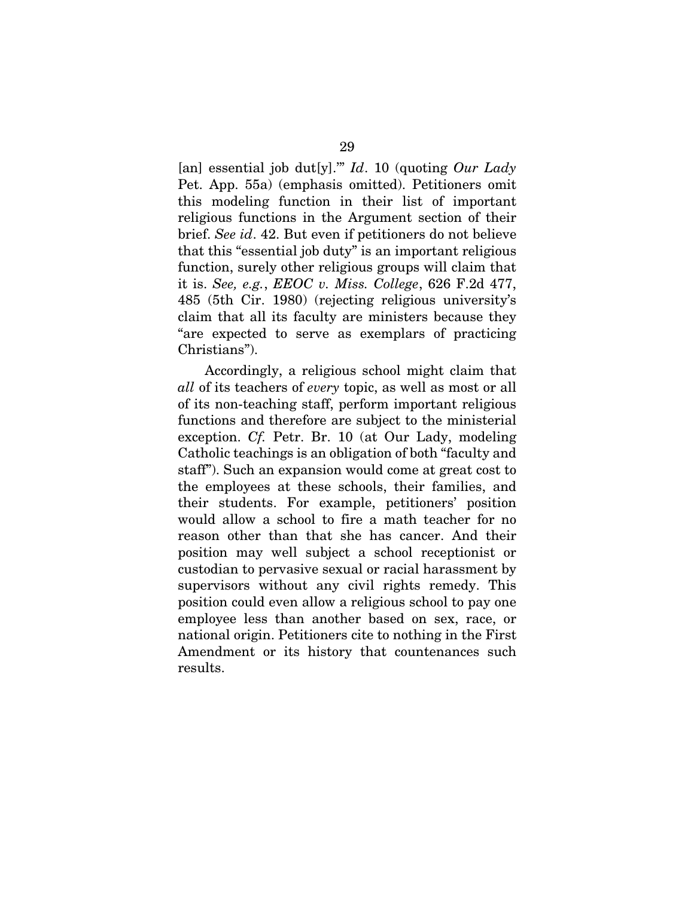[an] essential job dut[y].'" *Id*. 10 (quoting *Our Lady*  Pet. App. 55a) (emphasis omitted). Petitioners omit this modeling function in their list of important religious functions in the Argument section of their brief. *See id*. 42. But even if petitioners do not believe that this "essential job duty" is an important religious function, surely other religious groups will claim that it is. *See, e.g.*, *EEOC v. Miss. College*, 626 F.2d 477, 485 (5th Cir. 1980) (rejecting religious university's claim that all its faculty are ministers because they "are expected to serve as exemplars of practicing Christians").

Accordingly, a religious school might claim that *all* of its teachers of *every* topic, as well as most or all of its non-teaching staff, perform important religious functions and therefore are subject to the ministerial exception. *Cf.* Petr. Br. 10 (at Our Lady, modeling Catholic teachings is an obligation of both "faculty and staff"). Such an expansion would come at great cost to the employees at these schools, their families, and their students. For example, petitioners' position would allow a school to fire a math teacher for no reason other than that she has cancer. And their position may well subject a school receptionist or custodian to pervasive sexual or racial harassment by supervisors without any civil rights remedy. This position could even allow a religious school to pay one employee less than another based on sex, race, or national origin. Petitioners cite to nothing in the First Amendment or its history that countenances such results.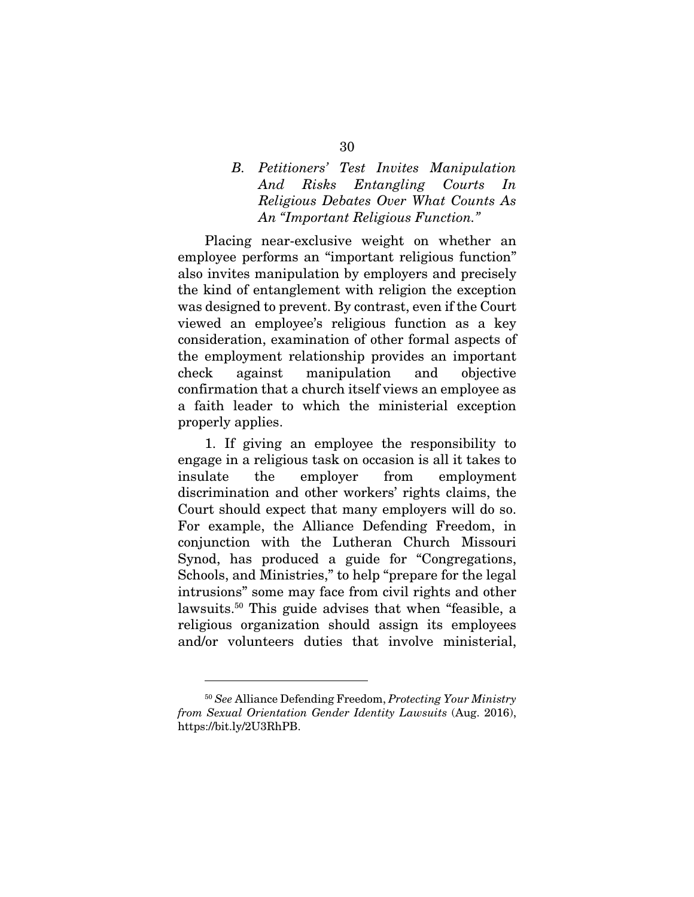### *B. Petitioners' Test Invites Manipulation And Risks Entangling Courts In Religious Debates Over What Counts As An "Important Religious Function."*

Placing near-exclusive weight on whether an employee performs an "important religious function" also invites manipulation by employers and precisely the kind of entanglement with religion the exception was designed to prevent. By contrast, even if the Court viewed an employee's religious function as a key consideration, examination of other formal aspects of the employment relationship provides an important check against manipulation and objective confirmation that a church itself views an employee as a faith leader to which the ministerial exception properly applies.

1. If giving an employee the responsibility to engage in a religious task on occasion is all it takes to insulate the employer from employment discrimination and other workers' rights claims, the Court should expect that many employers will do so. For example, the Alliance Defending Freedom, in conjunction with the Lutheran Church Missouri Synod, has produced a guide for "Congregations, Schools, and Ministries," to help "prepare for the legal intrusions" some may face from civil rights and other lawsuits.50 This guide advises that when "feasible, a religious organization should assign its employees and/or volunteers duties that involve ministerial,

<sup>50</sup> *See* Alliance Defending Freedom, *Protecting Your Ministry from Sexual Orientation Gender Identity Lawsuits* (Aug. 2016), https://bit.ly/2U3RhPB.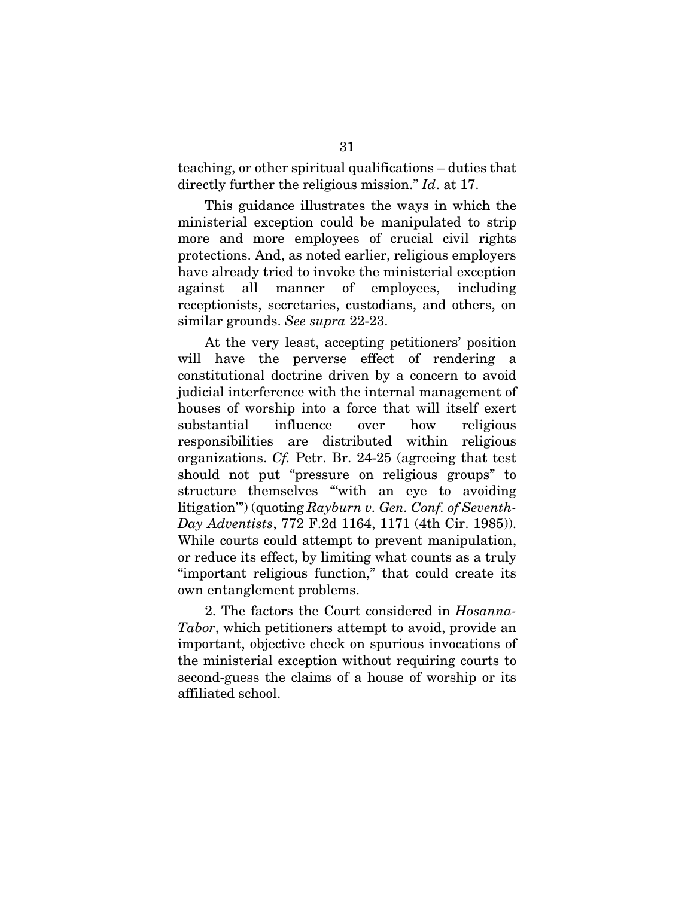teaching, or other spiritual qualifications – duties that directly further the religious mission." *Id*. at 17.

This guidance illustrates the ways in which the ministerial exception could be manipulated to strip more and more employees of crucial civil rights protections. And, as noted earlier, religious employers have already tried to invoke the ministerial exception against all manner of employees, including receptionists, secretaries, custodians, and others, on similar grounds. *See supra* 22-23.

At the very least, accepting petitioners' position will have the perverse effect of rendering a constitutional doctrine driven by a concern to avoid judicial interference with the internal management of houses of worship into a force that will itself exert substantial influence over how religious responsibilities are distributed within religious organizations. *Cf.* Petr. Br. 24-25 (agreeing that test should not put "pressure on religious groups" to structure themselves "'with an eye to avoiding litigation'") (quoting *Rayburn v. Gen. Conf. of Seventh-Day Adventists*, 772 F.2d 1164, 1171 (4th Cir. 1985)). While courts could attempt to prevent manipulation, or reduce its effect, by limiting what counts as a truly "important religious function," that could create its own entanglement problems.

2. The factors the Court considered in *Hosanna-Tabor*, which petitioners attempt to avoid, provide an important, objective check on spurious invocations of the ministerial exception without requiring courts to second-guess the claims of a house of worship or its affiliated school.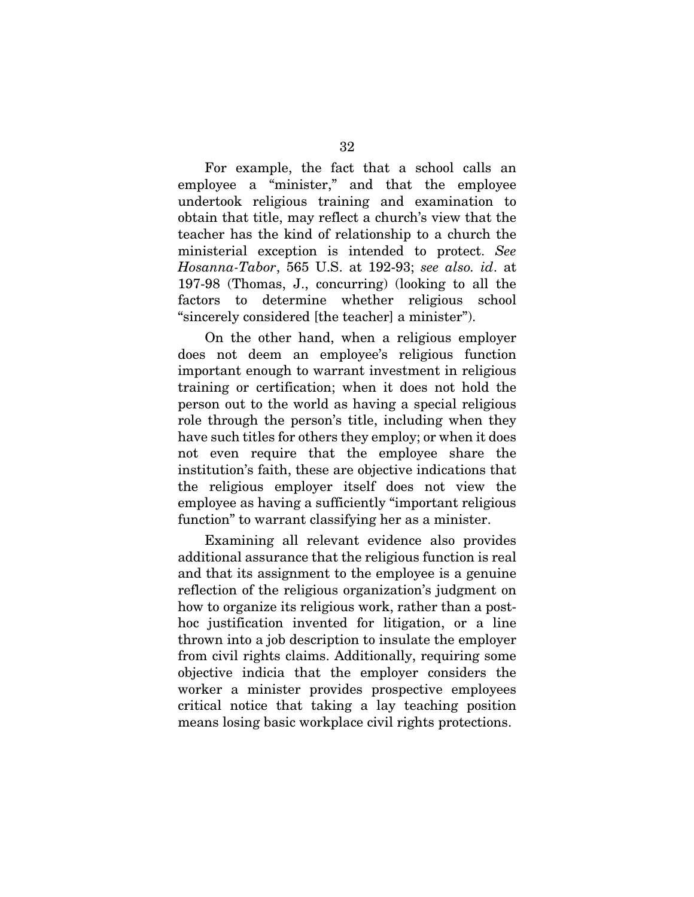For example, the fact that a school calls an employee a "minister," and that the employee undertook religious training and examination to obtain that title, may reflect a church's view that the teacher has the kind of relationship to a church the ministerial exception is intended to protect. *See Hosanna-Tabor*, 565 U.S. at 192-93; *see also. id*. at 197-98 (Thomas, J., concurring) (looking to all the factors to determine whether religious school "sincerely considered [the teacher] a minister").

On the other hand, when a religious employer does not deem an employee's religious function important enough to warrant investment in religious training or certification; when it does not hold the person out to the world as having a special religious role through the person's title, including when they have such titles for others they employ; or when it does not even require that the employee share the institution's faith, these are objective indications that the religious employer itself does not view the employee as having a sufficiently "important religious function" to warrant classifying her as a minister.

Examining all relevant evidence also provides additional assurance that the religious function is real and that its assignment to the employee is a genuine reflection of the religious organization's judgment on how to organize its religious work, rather than a posthoc justification invented for litigation, or a line thrown into a job description to insulate the employer from civil rights claims. Additionally, requiring some objective indicia that the employer considers the worker a minister provides prospective employees critical notice that taking a lay teaching position means losing basic workplace civil rights protections.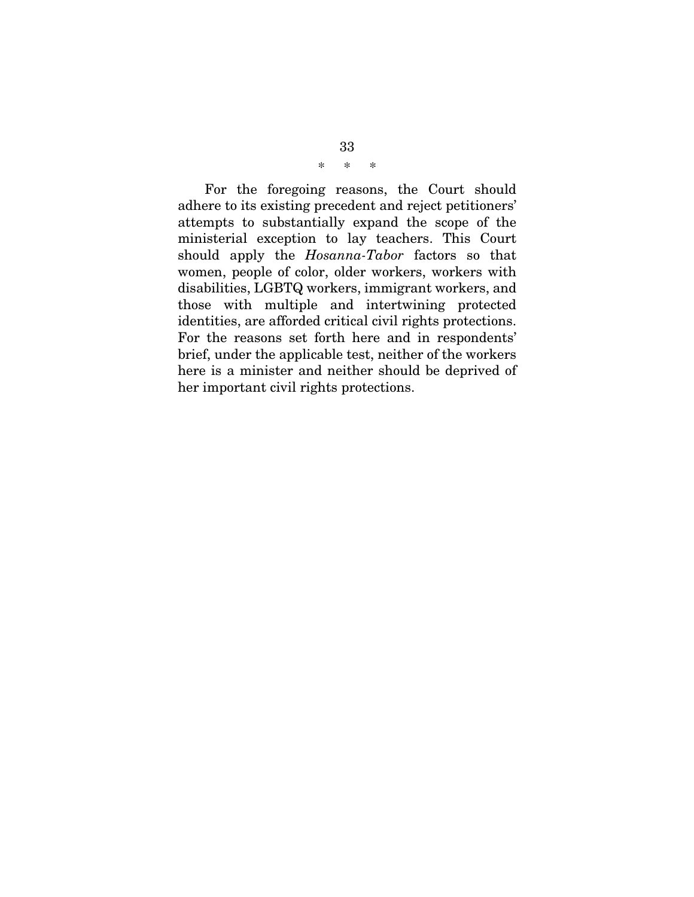### \* \* \*

For the foregoing reasons, the Court should adhere to its existing precedent and reject petitioners' attempts to substantially expand the scope of the ministerial exception to lay teachers. This Court should apply the *Hosanna-Tabor* factors so that women, people of color, older workers, workers with disabilities, LGBTQ workers, immigrant workers, and those with multiple and intertwining protected identities, are afforded critical civil rights protections. For the reasons set forth here and in respondents' brief, under the applicable test, neither of the workers here is a minister and neither should be deprived of her important civil rights protections.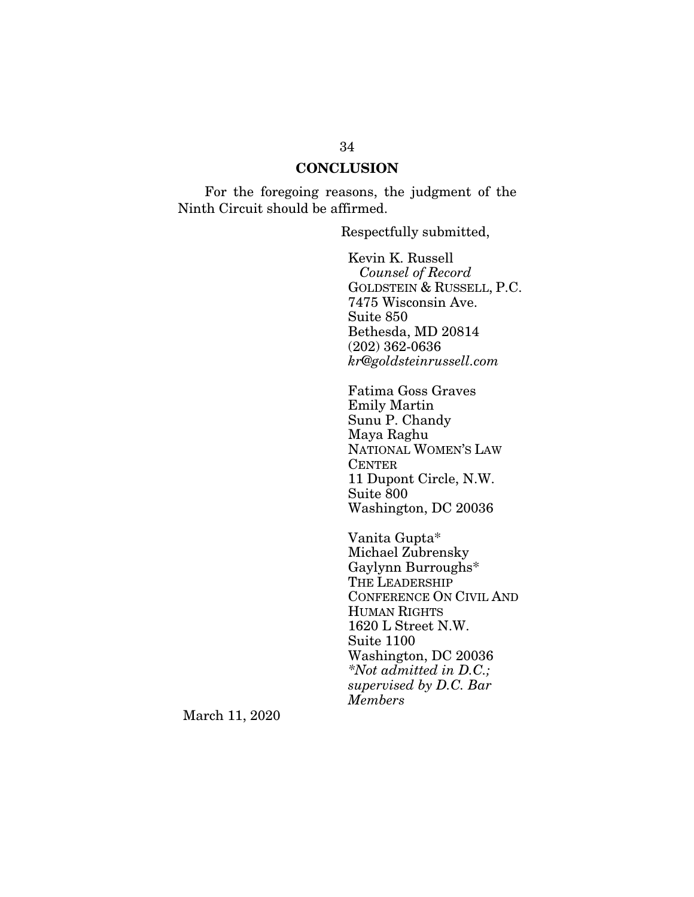#### **CONCLUSION**

For the foregoing reasons, the judgment of the Ninth Circuit should be affirmed.

Respectfully submitted,

Kevin K. Russell *Counsel of Record* GOLDSTEIN & RUSSELL, P.C. 7475 Wisconsin Ave. Suite 850 Bethesda, MD 20814 (202) 362-0636 *kr@goldsteinrussell.com* 

Fatima Goss Graves Emily Martin Sunu P. Chandy Maya Raghu NATIONAL WOMEN'S LAW **CENTER** 11 Dupont Circle, N.W. Suite 800 Washington, DC 20036

Vanita Gupta\* Michael Zubrensky Gaylynn Burroughs\* THE LEADERSHIP CONFERENCE ON CIVIL AND HUMAN RIGHTS 1620 L Street N.W. Suite 1100 Washington, DC 20036 *\*Not admitted in D.C.; supervised by D.C. Bar Members*

March 11, 2020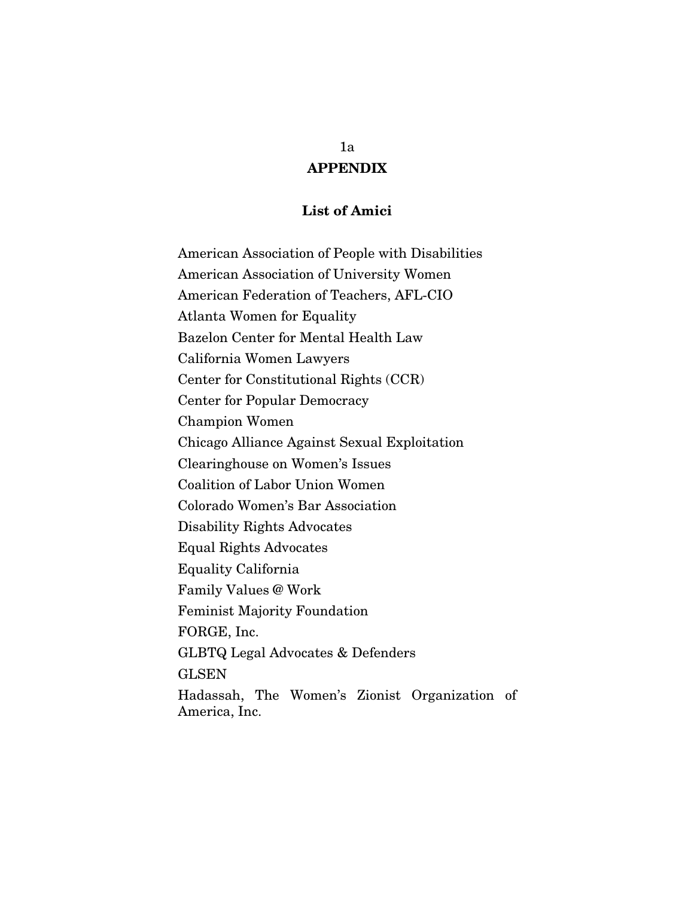## APPENDIX

#### List of Amici

American Association of People with Disabilities American Association of University Women American Federation of Teachers, AFL-CIO Atlanta Women for Equality Bazelon Center for Mental Health Law California Women Lawyers Center for Constitutional Rights (CCR) Center for Popular Democracy Champion Women Chicago Alliance Against Sexual Exploitation Clearinghouse on Women's Issues Coalition of Labor Union Women Colorado Women's Bar Association Disability Rights Advocates Equal Rights Advocates Equality California Family Values @ Work Feminist Majority Foundation FORGE, Inc. GLBTQ Legal Advocates & Defenders **GLSEN** Hadassah, The Women's Zionist Organization of America, Inc.

#### 1a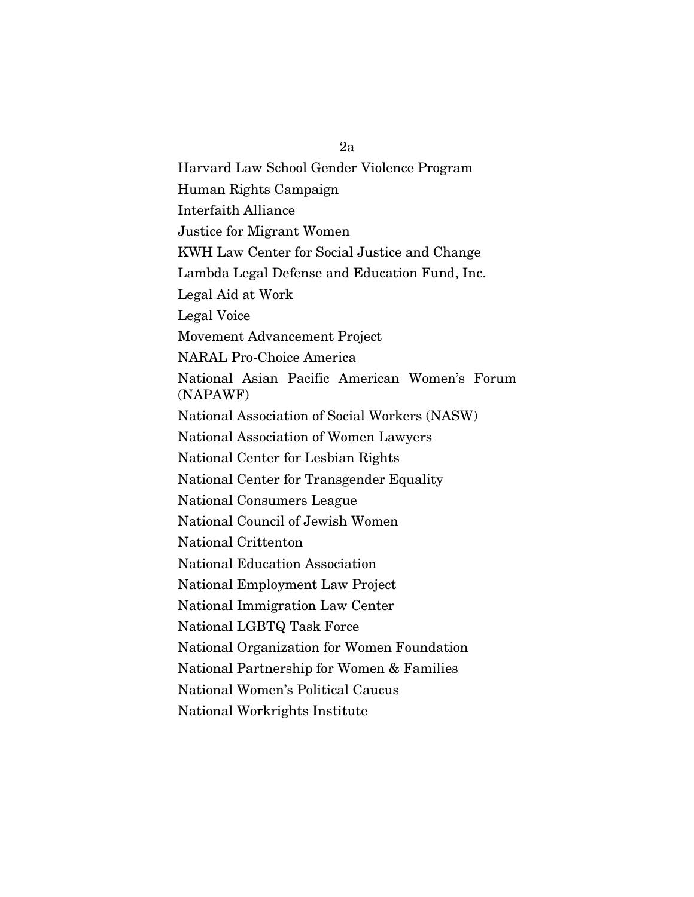Harvard Law School Gender Violence Program Human Rights Campaign Interfaith Alliance Justice for Migrant Women KWH Law Center for Social Justice and Change Lambda Legal Defense and Education Fund, Inc. Legal Aid at Work Legal Voice Movement Advancement Project NARAL Pro-Choice America National Asian Pacific American Women's Forum (NAPAWF) National Association of Social Workers (NASW) National Association of Women Lawyers National Center for Lesbian Rights National Center for Transgender Equality National Consumers League National Council of Jewish Women National Crittenton National Education Association National Employment Law Project National Immigration Law Center National LGBTQ Task Force National Organization for Women Foundation National Partnership for Women & Families National Women's Political Caucus National Workrights Institute

2a